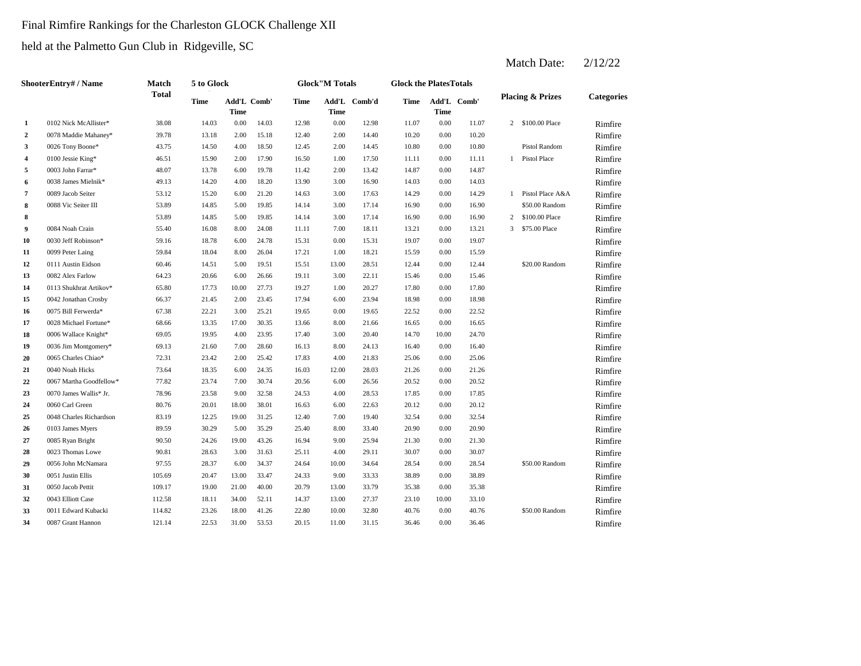## Final Rimfire Rankings for the Charleston GLOCK Challenge XII

held at the Palmetto Gun Club in Ridgeville, SC

|                | <b>ShooterEntry#/Name</b> | <b>Match</b> | 5 to Glock  |                            |       |       | <b>Glock</b> "M Totals |              | <b>Glock the PlatesTotals</b> |             |             |              |                             |                   |
|----------------|---------------------------|--------------|-------------|----------------------------|-------|-------|------------------------|--------------|-------------------------------|-------------|-------------|--------------|-----------------------------|-------------------|
|                |                           | <b>Total</b> | <b>Time</b> | Add'L Comb'<br><b>Time</b> |       | Time  | <b>Time</b>            | Add'L Comb'd | Time                          | <b>Time</b> | Add'L Comb' |              | <b>Placing &amp; Prizes</b> | <b>Categories</b> |
| 1              | 0102 Nick McAllister*     | 38.08        | 14.03       | 0.00                       | 14.03 | 12.98 | 0.00                   | 12.98        | 11.07                         | 0.00        | 11.07       |              | 2 \$100.00 Place            | Rimfire           |
| $\overline{2}$ | 0078 Maddie Mahaney*      | 39.78        | 13.18       | 2.00                       | 15.18 | 12.40 | 2.00                   | 14.40        | 10.20                         | 0.00        | 10.20       |              |                             | Rimfire           |
| 3              | 0026 Tony Boone*          | 43.75        | 14.50       | 4.00                       | 18.50 | 12.45 | 2.00                   | 14.45        | 10.80                         | 0.00        | 10.80       |              | Pistol Random               | Rimfire           |
| 4              | 0100 Jessie King*         | 46.51        | 15.90       | 2.00                       | 17.90 | 16.50 | 1.00                   | 17.50        | 11.11                         | 0.00        | 11.11       | -1           | Pistol Place                | Rimfire           |
| 5              | 0003 John Farrar*         | 48.07        | 13.78       | 6.00                       | 19.78 | 11.42 | 2.00                   | 13.42        | 14.87                         | 0.00        | 14.87       |              |                             | Rimfire           |
| 6              | 0038 James Mielnik*       | 49.13        | 14.20       | 4.00                       | 18.20 | 13.90 | 3.00                   | 16.90        | 14.03                         | 0.00        | 14.03       |              |                             | Rimfire           |
| 7              | 0089 Jacob Seiter         | 53.12        | 15.20       | 6.00                       | 21.20 | 14.63 | 3.00                   | 17.63        | 14.29                         | 0.00        | 14.29       | -1           | Pistol Place A&A            | Rimfire           |
| 8              | 0088 Vic Seiter III       | 53.89        | 14.85       | 5.00                       | 19.85 | 14.14 | 3.00                   | 17.14        | 16.90                         | 0.00        | 16.90       |              | \$50.00 Random              | Rimfire           |
| 8              |                           | 53.89        | 14.85       | 5.00                       | 19.85 | 14.14 | 3.00                   | 17.14        | 16.90                         | 0.00        | 16.90       | $\mathbf{2}$ | \$100.00 Place              | Rimfire           |
| 9              | 0084 Noah Crain           | 55.40        | 16.08       | 8.00                       | 24.08 | 11.11 | 7.00                   | 18.11        | 13.21                         | 0.00        | 13.21       | 3            | \$75.00 Place               | Rimfire           |
| 10             | 0030 Jeff Robinson*       | 59.16        | 18.78       | 6.00                       | 24.78 | 15.31 | 0.00                   | 15.31        | 19.07                         | 0.00        | 19.07       |              |                             | Rimfire           |
| 11             | 0099 Peter Laing          | 59.84        | 18.04       | 8.00                       | 26.04 | 17.21 | 1.00                   | 18.21        | 15.59                         | 0.00        | 15.59       |              |                             | Rimfire           |
| 12             | 0111 Austin Eidson        | 60.46        | 14.51       | 5.00                       | 19.51 | 15.51 | 13.00                  | 28.51        | 12.44                         | 0.00        | 12.44       |              | \$20.00 Random              | Rimfire           |
| 13             | 0082 Alex Farlow          | 64.23        | 20.66       | 6.00                       | 26.66 | 19.11 | 3.00                   | 22.11        | 15.46                         | 0.00        | 15.46       |              |                             | Rimfire           |
| 14             | 0113 Shukhrat Artikov*    | 65.80        | 17.73       | 10.00                      | 27.73 | 19.27 | 1.00                   | 20.27        | 17.80                         | 0.00        | 17.80       |              |                             | Rimfire           |
| 15             | 0042 Jonathan Crosby      | 66.37        | 21.45       | 2.00                       | 23.45 | 17.94 | 6.00                   | 23.94        | 18.98                         | 0.00        | 18.98       |              |                             | Rimfire           |
| 16             | 0075 Bill Ferwerda*       | 67.38        | 22.21       | 3.00                       | 25.21 | 19.65 | 0.00                   | 19.65        | 22.52                         | 0.00        | 22.52       |              |                             | Rimfire           |
| 17             | 0028 Michael Fortune*     | 68.66        | 13.35       | 17.00                      | 30.35 | 13.66 | 8.00                   | 21.66        | 16.65                         | 0.00        | 16.65       |              |                             | Rimfire           |
| 18             | 0006 Wallace Knight*      | 69.05        | 19.95       | 4.00                       | 23.95 | 17.40 | 3.00                   | 20.40        | 14.70                         | 10.00       | 24.70       |              |                             | Rimfire           |
| 19             | 0036 Jim Montgomery*      | 69.13        | 21.60       | 7.00                       | 28.60 | 16.13 | 8.00                   | 24.13        | 16.40                         | 0.00        | 16.40       |              |                             | Rimfire           |
| 20             | 0065 Charles Chiao*       | 72.31        | 23.42       | 2.00                       | 25.42 | 17.83 | 4.00                   | 21.83        | 25.06                         | 0.00        | 25.06       |              |                             | Rimfire           |
| 21             | 0040 Noah Hicks           | 73.64        | 18.35       | 6.00                       | 24.35 | 16.03 | 12.00                  | 28.03        | 21.26                         | 0.00        | 21.26       |              |                             | Rimfire           |
| 22             | 0067 Martha Goodfellow*   | 77.82        | 23.74       | 7.00                       | 30.74 | 20.56 | 6.00                   | 26.56        | 20.52                         | 0.00        | 20.52       |              |                             | Rimfire           |
| 23             | 0070 James Wallis* Jr.    | 78.96        | 23.58       | 9.00                       | 32.58 | 24.53 | 4.00                   | 28.53        | 17.85                         | 0.00        | 17.85       |              |                             | Rimfire           |
| 24             | 0060 Carl Green           | 80.76        | 20.01       | 18.00                      | 38.01 | 16.63 | 6.00                   | 22.63        | 20.12                         | 0.00        | 20.12       |              |                             | Rimfire           |
| 25             | 0048 Charles Richardson   | 83.19        | 12.25       | 19.00                      | 31.25 | 12.40 | 7.00                   | 19.40        | 32.54                         | 0.00        | 32.54       |              |                             | Rimfire           |
| 26             | 0103 James Myers          | 89.59        | 30.29       | 5.00                       | 35.29 | 25.40 | 8.00                   | 33.40        | 20.90                         | 0.00        | 20.90       |              |                             | Rimfire           |
| 27             | 0085 Ryan Bright          | 90.50        | 24.26       | 19.00                      | 43.26 | 16.94 | 9.00                   | 25.94        | 21.30                         | 0.00        | 21.30       |              |                             | Rimfire           |
| 28             | 0023 Thomas Lowe          | 90.81        | 28.63       | 3.00                       | 31.63 | 25.11 | 4.00                   | 29.11        | 30.07                         | $0.00\,$    | 30.07       |              |                             | Rimfire           |
| 29             | 0056 John McNamara        | 97.55        | 28.37       | 6.00                       | 34.37 | 24.64 | 10.00                  | 34.64        | 28.54                         | $0.00\,$    | 28.54       |              | \$50.00 Random              | Rimfire           |
| 30             | 0051 Justin Ellis         | 105.69       | 20.47       | 13.00                      | 33.47 | 24.33 | 9.00                   | 33.33        | 38.89                         | 0.00        | 38.89       |              |                             | Rimfire           |
| 31             | 0050 Jacob Pettit         | 109.17       | 19.00       | 21.00                      | 40.00 | 20.79 | 13.00                  | 33.79        | 35.38                         | 0.00        | 35.38       |              |                             | Rimfire           |
| 32             | 0043 Elliott Case         | 112.58       | 18.11       | 34.00                      | 52.11 | 14.37 | 13.00                  | 27.37        | 23.10                         | 10.00       | 33.10       |              |                             | Rimfire           |
| 33             | 0011 Edward Kubacki       | 114.82       | 23.26       | 18.00                      | 41.26 | 22.80 | 10.00                  | 32.80        | 40.76                         | $0.00\,$    | 40.76       |              | \$50.00 Random              | Rimfire           |
| 34             | 0087 Grant Hannon         | 121.14       | 22.53       | 31.00                      | 53.53 | 20.15 | 11.00                  | 31.15        | 36.46                         | 0.00        | 36.46       |              |                             | Rimfire           |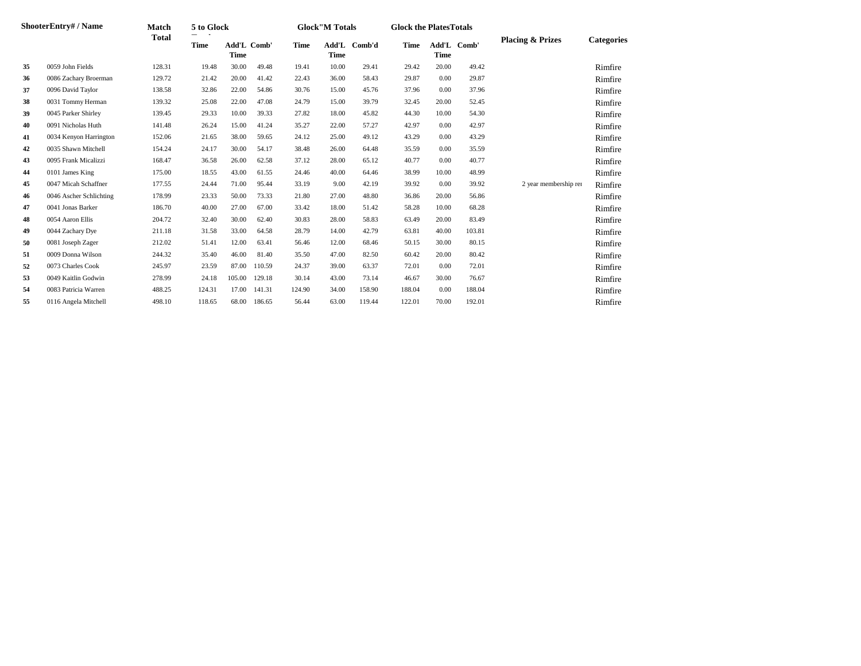|    | ShooterEntry# / Name    | <b>Match</b> | 5 to Glock  |                                   |        |             | <b>Glock</b> "M Totals |        | <b>Glock the PlatesTotals</b> |       |             |                             |                   |
|----|-------------------------|--------------|-------------|-----------------------------------|--------|-------------|------------------------|--------|-------------------------------|-------|-------------|-----------------------------|-------------------|
|    |                         | <b>Total</b> | <b>Time</b> | <b>Add'L Comb'</b><br><b>Time</b> |        | <b>Time</b> | Add'L<br><b>Time</b>   | Comb'd | <b>Time</b>                   | Time  | Add'L Comb' | <b>Placing &amp; Prizes</b> | <b>Categories</b> |
| 35 | 0059 John Fields        | 128.31       | 19.48       | 30.00                             | 49.48  | 19.41       | 10.00                  | 29.41  | 29.42                         | 20.00 | 49.42       |                             | Rimfire           |
| 36 | 0086 Zachary Broerman   | 129.72       | 21.42       | 20.00                             | 41.42  | 22.43       | 36.00                  | 58.43  | 29.87                         | 0.00  | 29.87       |                             | Rimfire           |
| 37 | 0096 David Taylor       | 138.58       | 32.86       | 22.00                             | 54.86  | 30.76       | 15.00                  | 45.76  | 37.96                         | 0.00  | 37.96       |                             | Rimfire           |
| 38 | 0031 Tommy Herman       | 139.32       | 25.08       | 22.00                             | 47.08  | 24.79       | 15.00                  | 39.79  | 32.45                         | 20.00 | 52.45       |                             | Rimfire           |
| 39 | 0045 Parker Shirley     | 139.45       | 29.33       | 10.00                             | 39.33  | 27.82       | 18.00                  | 45.82  | 44.30                         | 10.00 | 54.30       |                             | Rimfire           |
| 40 | 0091 Nicholas Huth      | 141.48       | 26.24       | 15.00                             | 41.24  | 35.27       | 22.00                  | 57.27  | 42.97                         | 0.00  | 42.97       |                             | Rimfire           |
| 41 | 0034 Kenyon Harrington  | 152.06       | 21.65       | 38.00                             | 59.65  | 24.12       | 25.00                  | 49.12  | 43.29                         | 0.00  | 43.29       |                             | Rimfire           |
| 42 | 0035 Shawn Mitchell     | 154.24       | 24.17       | 30.00                             | 54.17  | 38.48       | 26.00                  | 64.48  | 35.59                         | 0.00  | 35.59       |                             | Rimfire           |
| 43 | 0095 Frank Micalizzi    | 168.47       | 36.58       | 26.00                             | 62.58  | 37.12       | 28.00                  | 65.12  | 40.77                         | 0.00  | 40.77       |                             | Rimfire           |
| 44 | 0101 James King         | 175.00       | 18.55       | 43.00                             | 61.55  | 24.46       | 40.00                  | 64.46  | 38.99                         | 10.00 | 48.99       |                             | Rimfire           |
| 45 | 0047 Micah Schaffner    | 177.55       | 24.44       | 71.00                             | 95.44  | 33.19       | 9.00                   | 42.19  | 39.92                         | 0.00  | 39.92       | 2 year membership ren       | Rimfire           |
| 46 | 0046 Ascher Schlichting | 178.99       | 23.33       | 50.00                             | 73.33  | 21.80       | 27.00                  | 48.80  | 36.86                         | 20.00 | 56.86       |                             | Rimfire           |
| 47 | 0041 Jonas Barker       | 186.70       | 40.00       | 27.00                             | 67.00  | 33.42       | 18.00                  | 51.42  | 58.28                         | 10.00 | 68.28       |                             | Rimfire           |
| 48 | 0054 Aaron Ellis        | 204.72       | 32.40       | 30.00                             | 62.40  | 30.83       | 28.00                  | 58.83  | 63.49                         | 20.00 | 83.49       |                             | Rimfire           |
| 49 | 0044 Zachary Dye        | 211.18       | 31.58       | 33.00                             | 64.58  | 28.79       | 14.00                  | 42.79  | 63.81                         | 40.00 | 103.81      |                             | Rimfire           |
| 50 | 0081 Joseph Zager       | 212.02       | 51.41       | 12.00                             | 63.41  | 56.46       | 12.00                  | 68.46  | 50.15                         | 30.00 | 80.15       |                             | Rimfire           |
| 51 | 0009 Donna Wilson       | 244.32       | 35.40       | 46.00                             | 81.40  | 35.50       | 47.00                  | 82.50  | 60.42                         | 20.00 | 80.42       |                             | Rimfire           |
| 52 | 0073 Charles Cook       | 245.97       | 23.59       | 87.00                             | 110.59 | 24.37       | 39.00                  | 63.37  | 72.01                         | 0.00  | 72.01       |                             | Rimfire           |
| 53 | 0049 Kaitlin Godwin     | 278.99       | 24.18       | 105.00                            | 129.18 | 30.14       | 43.00                  | 73.14  | 46.67                         | 30.00 | 76.67       |                             | Rimfire           |
| 54 | 0083 Patricia Warren    | 488.25       | 124.31      | 17.00                             | 141.31 | 124.90      | 34.00                  | 158.90 | 188.04                        | 0.00  | 188.04      |                             | Rimfire           |
| 55 | 0116 Angela Mitchell    | 498.10       | 118.65      | 68.00                             | 186.65 | 56.44       | 63.00                  | 119.44 | 122.01                        | 70.00 | 192.01      |                             | Rimfire           |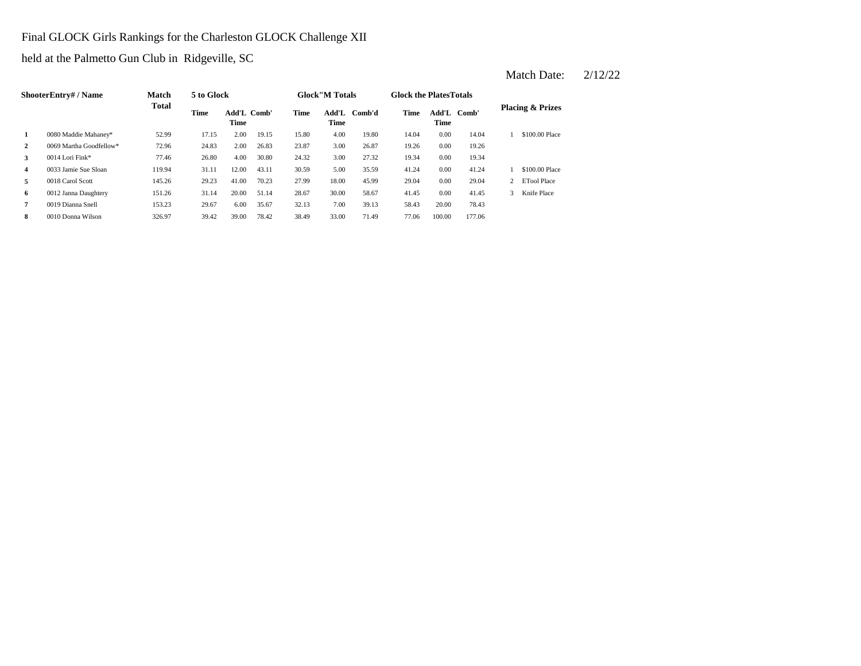Final GLOCK Girls Rankings for the Charleston GLOCK Challenge XII

held at the Palmetto Gun Club in Ridgeville, SC

|                | <b>ShooterEntry#/Name</b> | <b>Match</b> | 5 to Glock  |                     |       |             | <b>Glock</b> "M Totals |        | <b>Glock the Plates Totals</b> |                            |        |   |                             |
|----------------|---------------------------|--------------|-------------|---------------------|-------|-------------|------------------------|--------|--------------------------------|----------------------------|--------|---|-----------------------------|
|                |                           | <b>Total</b> | <b>Time</b> | Add'L Comb'<br>Time |       | <b>Time</b> | Add'L<br><b>Time</b>   | Comb'd | Time                           | Add'L Comb'<br><b>Time</b> |        |   | <b>Placing &amp; Prizes</b> |
| 1              | 0080 Maddie Mahaney*      | 52.99        | 17.15       | 2.00                | 19.15 | 15.80       | 4.00                   | 19.80  | 14.04                          | 0.00                       | 14.04  |   | \$100.00 Place              |
| $\overline{2}$ | 0069 Martha Goodfellow*   | 72.96        | 24.83       | 2.00                | 26.83 | 23.87       | 3.00                   | 26.87  | 19.26                          | 0.00                       | 19.26  |   |                             |
| 3              | 0014 Lori Fink*           | 77.46        | 26.80       | 4.00                | 30.80 | 24.32       | 3.00                   | 27.32  | 19.34                          | 0.00                       | 19.34  |   |                             |
| $\overline{4}$ | 0033 Jamie Sue Sloan      | 119.94       | 31.11       | 12.00               | 43.11 | 30.59       | 5.00                   | 35.59  | 41.24                          | 0.00                       | 41.24  |   | \$100.00 Place              |
| 5              | 0018 Carol Scott          | 145.26       | 29.23       | 41.00               | 70.23 | 27.99       | 18.00                  | 45.99  | 29.04                          | 0.00                       | 29.04  |   | <b>ETool Place</b>          |
| 6              | 0012 Janna Daughtery      | 151.26       | 31.14       | 20.00               | 51.14 | 28.67       | 30.00                  | 58.67  | 41.45                          | 0.00                       | 41.45  | 3 | Knife Place                 |
| $\overline{7}$ | 0019 Dianna Snell         | 153.23       | 29.67       | 6.00                | 35.67 | 32.13       | 7.00                   | 39.13  | 58.43                          | 20.00                      | 78.43  |   |                             |
| 8              | 0010 Donna Wilson         | 326.97       | 39.42       | 39.00               | 78.42 | 38.49       | 33.00                  | 71.49  | 77.06                          | 100.00                     | 177.06 |   |                             |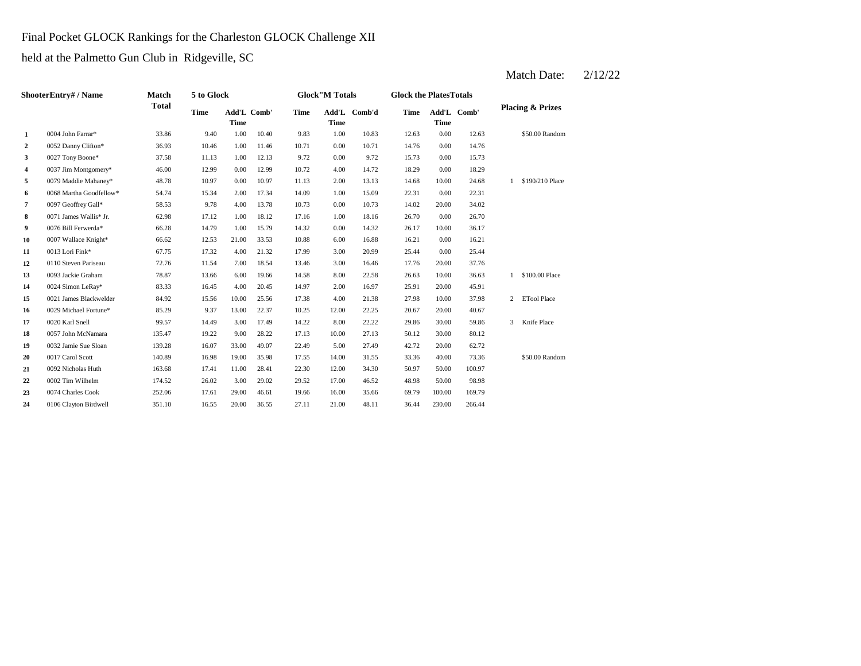## Final Pocket GLOCK Rankings for the Charleston GLOCK Challenge XII

held at the Palmetto Gun Club in Ridgeville, SC

|                  | <b>ShooterEntry#/Name</b> | <b>Match</b> | 5 to Glock  |                            |       |             | <b>Glock</b> "M Totals |              | <b>Glock the PlatesTotals</b> |             |             |   |                             |
|------------------|---------------------------|--------------|-------------|----------------------------|-------|-------------|------------------------|--------------|-------------------------------|-------------|-------------|---|-----------------------------|
|                  |                           | <b>Total</b> | <b>Time</b> | Add'L Comb'<br><b>Time</b> |       | <b>Time</b> | <b>Time</b>            | Add'L Comb'd | <b>Time</b>                   | <b>Time</b> | Add'L Comb' |   | <b>Placing &amp; Prizes</b> |
| 1                | 0004 John Farrar*         | 33.86        | 9.40        | 1.00                       | 10.40 | 9.83        | 1.00                   | 10.83        | 12.63                         | 0.00        | 12.63       |   | \$50.00 Random              |
| $\boldsymbol{2}$ | 0052 Danny Clifton*       | 36.93        | 10.46       | 1.00                       | 11.46 | 10.71       | 0.00                   | 10.71        | 14.76                         | 0.00        | 14.76       |   |                             |
| 3                | 0027 Tony Boone*          | 37.58        | 11.13       | 1.00                       | 12.13 | 9.72        | 0.00                   | 9.72         | 15.73                         | 0.00        | 15.73       |   |                             |
| 4                | 0037 Jim Montgomery*      | 46.00        | 12.99       | 0.00                       | 12.99 | 10.72       | 4.00                   | 14.72        | 18.29                         | 0.00        | 18.29       |   |                             |
| 5                | 0079 Maddie Mahaney*      | 48.78        | 10.97       | 0.00                       | 10.97 | 11.13       | 2.00                   | 13.13        | 14.68                         | 10.00       | 24.68       |   | \$190/210 Place             |
| 6                | 0068 Martha Goodfellow*   | 54.74        | 15.34       | 2.00                       | 17.34 | 14.09       | 1.00                   | 15.09        | 22.31                         | 0.00        | 22.31       |   |                             |
| 7                | 0097 Geoffrey Gall*       | 58.53        | 9.78        | 4.00                       | 13.78 | 10.73       | 0.00                   | 10.73        | 14.02                         | 20.00       | 34.02       |   |                             |
| 8                | 0071 James Wallis* Jr.    | 62.98        | 17.12       | 1.00                       | 18.12 | 17.16       | 1.00                   | 18.16        | 26.70                         | 0.00        | 26.70       |   |                             |
| 9                | 0076 Bill Ferwerda*       | 66.28        | 14.79       | 1.00                       | 15.79 | 14.32       | 0.00                   | 14.32        | 26.17                         | 10.00       | 36.17       |   |                             |
| 10               | 0007 Wallace Knight*      | 66.62        | 12.53       | 21.00                      | 33.53 | 10.88       | 6.00                   | 16.88        | 16.21                         | 0.00        | 16.21       |   |                             |
| 11               | 0013 Lori Fink*           | 67.75        | 17.32       | 4.00                       | 21.32 | 17.99       | 3.00                   | 20.99        | 25.44                         | 0.00        | 25.44       |   |                             |
| 12               | 0110 Steven Pariseau      | 72.76        | 11.54       | 7.00                       | 18.54 | 13.46       | 3.00                   | 16.46        | 17.76                         | 20.00       | 37.76       |   |                             |
| 13               | 0093 Jackie Graham        | 78.87        | 13.66       | 6.00                       | 19.66 | 14.58       | 8.00                   | 22.58        | 26.63                         | 10.00       | 36.63       |   | \$100.00 Place              |
| 14               | 0024 Simon LeRay*         | 83.33        | 16.45       | 4.00                       | 20.45 | 14.97       | 2.00                   | 16.97        | 25.91                         | 20.00       | 45.91       |   |                             |
| 15               | 0021 James Blackwelder    | 84.92        | 15.56       | 10.00                      | 25.56 | 17.38       | 4.00                   | 21.38        | 27.98                         | 10.00       | 37.98       | 2 | <b>ETool Place</b>          |
| 16               | 0029 Michael Fortune*     | 85.29        | 9.37        | 13.00                      | 22.37 | 10.25       | 12.00                  | 22.25        | 20.67                         | 20.00       | 40.67       |   |                             |
| 17               | 0020 Karl Snell           | 99.57        | 14.49       | 3.00                       | 17.49 | 14.22       | 8.00                   | 22.22        | 29.86                         | 30.00       | 59.86       | 3 | Knife Place                 |
| 18               | 0057 John McNamara        | 135.47       | 19.22       | 9.00                       | 28.22 | 17.13       | 10.00                  | 27.13        | 50.12                         | 30.00       | 80.12       |   |                             |
| 19               | 0032 Jamie Sue Sloan      | 139.28       | 16.07       | 33.00                      | 49.07 | 22.49       | 5.00                   | 27.49        | 42.72                         | 20.00       | 62.72       |   |                             |
| 20               | 0017 Carol Scott          | 140.89       | 16.98       | 19.00                      | 35.98 | 17.55       | 14.00                  | 31.55        | 33.36                         | 40.00       | 73.36       |   | \$50.00 Random              |
| 21               | 0092 Nicholas Huth        | 163.68       | 17.41       | 11.00                      | 28.41 | 22.30       | 12.00                  | 34.30        | 50.97                         | 50.00       | 100.97      |   |                             |
| 22               | 0002 Tim Wilhelm          | 174.52       | 26.02       | 3.00                       | 29.02 | 29.52       | 17.00                  | 46.52        | 48.98                         | 50.00       | 98.98       |   |                             |
| 23               | 0074 Charles Cook         | 252.06       | 17.61       | 29.00                      | 46.61 | 19.66       | 16.00                  | 35.66        | 69.79                         | 100.00      | 169.79      |   |                             |
| 24               | 0106 Clayton Birdwell     | 351.10       | 16.55       | 20.00                      | 36.55 | 27.11       | 21.00                  | 48.11        | 36.44                         | 230.00      | 266.44      |   |                             |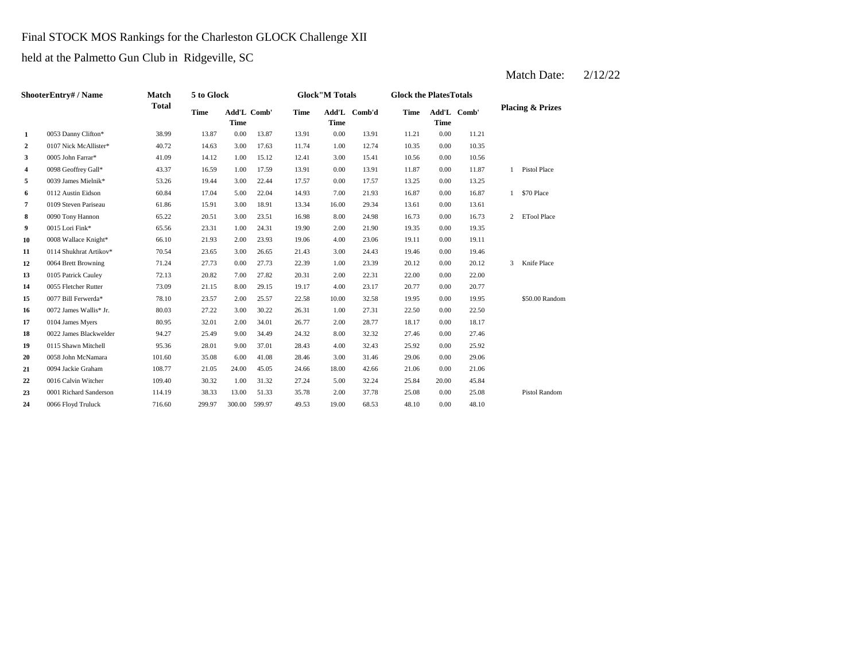## Final STOCK MOS Rankings for the Charleston GLOCK Challenge XII

held at the Palmetto Gun Club in Ridgeville, SC

|                        | <b>Match</b>                |              |             |            |                       |             |       |                                        |             |       |                                              |                             |
|------------------------|-----------------------------|--------------|-------------|------------|-----------------------|-------------|-------|----------------------------------------|-------------|-------|----------------------------------------------|-----------------------------|
|                        |                             | <b>Time</b>  | <b>Time</b> |            | <b>Time</b>           | <b>Time</b> |       | <b>Time</b>                            | <b>Time</b> |       |                                              | <b>Placing &amp; Prizes</b> |
| 0053 Danny Clifton*    | 38.99                       | 13.87        | 0.00        | 13.87      | 13.91                 | 0.00        | 13.91 | 11.21                                  | 0.00        | 11.21 |                                              |                             |
| 0107 Nick McAllister*  | 40.72                       | 14.63        | 3.00        | 17.63      | 11.74                 | 1.00        | 12.74 | 10.35                                  | 0.00        | 10.35 |                                              |                             |
| 0005 John Farrar*      | 41.09                       | 14.12        | 1.00        | 15.12      | 12.41                 | 3.00        | 15.41 | 10.56                                  | 0.00        | 10.56 |                                              |                             |
| 0098 Geoffrey Gall*    | 43.37                       | 16.59        | 1.00        | 17.59      | 13.91                 | 0.00        | 13.91 | 11.87                                  | 0.00        | 11.87 | $\mathbf{1}$                                 | Pistol Place                |
| 0039 James Mielnik*    | 53.26                       | 19.44        | 3.00        | 22.44      | 17.57                 | 0.00        | 17.57 | 13.25                                  | 0.00        | 13.25 |                                              |                             |
| 0112 Austin Eidson     | 60.84                       | 17.04        | 5.00        | 22.04      | 14.93                 | 7.00        | 21.93 | 16.87                                  | 0.00        | 16.87 | $\mathbf{1}$                                 | \$70 Place                  |
| 0109 Steven Pariseau   | 61.86                       | 15.91        | 3.00        | 18.91      | 13.34                 | 16.00       | 29.34 | 13.61                                  | 0.00        | 13.61 |                                              |                             |
| 0090 Tony Hannon       | 65.22                       | 20.51        | 3.00        | 23.51      | 16.98                 | 8.00        | 24.98 | 16.73                                  | 0.00        | 16.73 | $\overline{2}$                               | <b>ETool Place</b>          |
| 0015 Lori Fink*        | 65.56                       | 23.31        | 1.00        | 24.31      | 19.90                 | 2.00        | 21.90 | 19.35                                  | 0.00        | 19.35 |                                              |                             |
| 0008 Wallace Knight*   | 66.10                       | 21.93        | 2.00        | 23.93      | 19.06                 | 4.00        | 23.06 | 19.11                                  | 0.00        | 19.11 |                                              |                             |
| 0114 Shukhrat Artikov* | 70.54                       | 23.65        | 3.00        | 26.65      | 21.43                 | 3.00        | 24.43 | 19.46                                  | 0.00        | 19.46 |                                              |                             |
| 0064 Brett Browning    | 71.24                       | 27.73        | 0.00        | 27.73      | 22.39                 | 1.00        | 23.39 | 20.12                                  | 0.00        | 20.12 | $\mathfrak{Z}$                               | Knife Place                 |
| 0105 Patrick Cauley    | 72.13                       | 20.82        | 7.00        | 27.82      | 20.31                 | 2.00        | 22.31 | 22.00                                  | 0.00        | 22.00 |                                              |                             |
| 0055 Fletcher Rutter   | 73.09                       | 21.15        | 8.00        | 29.15      | 19.17                 | 4.00        | 23.17 | 20.77                                  | 0.00        | 20.77 |                                              |                             |
| 0077 Bill Ferwerda*    | 78.10                       | 23.57        | 2.00        | 25.57      | 22.58                 | 10.00       | 32.58 | 19.95                                  | 0.00        | 19.95 |                                              | \$50.00 Random              |
| 0072 James Wallis* Jr. | 80.03                       | 27.22        | 3.00        | 30.22      | 26.31                 | 1.00        | 27.31 | 22.50                                  | 0.00        | 22.50 |                                              |                             |
| 0104 James Myers       | 80.95                       | 32.01        | 2.00        | 34.01      | 26.77                 | 2.00        | 28.77 | 18.17                                  | 0.00        | 18.17 |                                              |                             |
| 0022 James Blackwelder | 94.27                       | 25.49        | 9.00        | 34.49      | 24.32                 | 8.00        | 32.32 | 27.46                                  | 0.00        | 27.46 |                                              |                             |
| 0115 Shawn Mitchell    | 95.36                       | 28.01        | 9.00        | 37.01      | 28.43                 | 4.00        | 32.43 | 25.92                                  | 0.00        | 25.92 |                                              |                             |
| 0058 John McNamara     | 101.60                      | 35.08        | 6.00        | 41.08      | 28.46                 | 3.00        | 31.46 | 29.06                                  | 0.00        | 29.06 |                                              |                             |
| 0094 Jackie Graham     | 108.77                      | 21.05        | 24.00       | 45.05      | 24.66                 | 18.00       | 42.66 | 21.06                                  | 0.00        | 21.06 |                                              |                             |
| 0016 Calvin Witcher    | 109.40                      | 30.32        | 1.00        | 31.32      | 27.24                 | 5.00        | 32.24 | 25.84                                  | 20.00       | 45.84 |                                              |                             |
| 0001 Richard Sanderson | 114.19                      | 38.33        | 13.00       | 51.33      | 35.78                 | 2.00        | 37.78 | 25.08                                  | 0.00        | 25.08 |                                              | Pistol Random               |
| 0066 Floyd Truluck     | 716.60                      | 299.97       |             | 599.97     | 49.53                 | 19.00       | 68.53 | 48.10                                  | 0.00        | 48.10 |                                              |                             |
|                        | <b>ShooterEntry# / Name</b> | <b>Total</b> |             | 5 to Glock | Add'L Comb'<br>300.00 |             |       | <b>Glock</b> "M Totals<br>Add'L Comb'd |             |       | <b>Glock the PlatesTotals</b><br>Add'L Comb' |                             |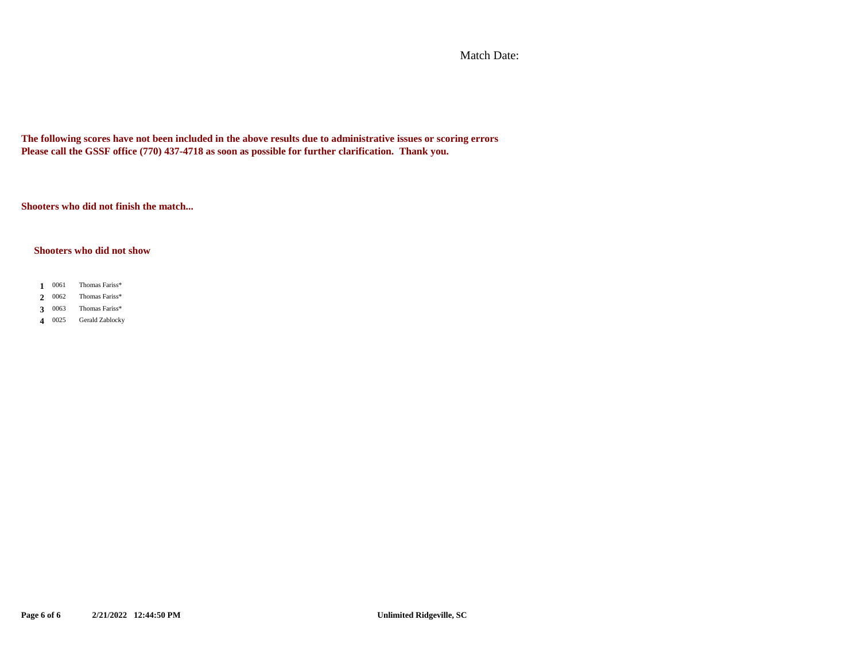Match Date:

**The following scores have not been included in the above results due to administrative issues or scoring errors Please call the GSSF office (770) 437-4718 as soon as possible for further clarification. Thank you.**

**Shooters who did not finish the match...**

#### **Shooters who did not show**

- 1 0061 Thomas Fariss\* 2 0062 Thomas Fariss\*
- 0063 **3** Thomas Fariss\*
- 4 0025 Gerald Zablocky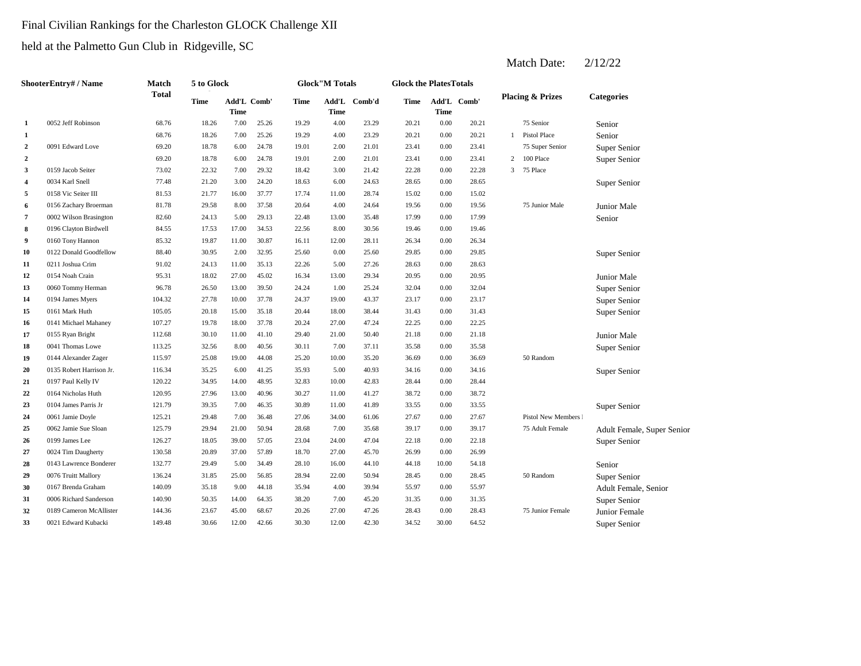# Final Civilian Rankings for the Charleston GLOCK Challenge XII

held at the Palmetto Gun Club in Ridgeville, SC

|                  | <b>ShooterEntry# / Name</b> | <b>Match</b> | 5 to Glock  |                            |       |       | <b>Glock</b> "M Totals |              | <b>Glock the PlatesTotals</b> |             |             |                |                             |                            |
|------------------|-----------------------------|--------------|-------------|----------------------------|-------|-------|------------------------|--------------|-------------------------------|-------------|-------------|----------------|-----------------------------|----------------------------|
|                  |                             | <b>Total</b> | <b>Time</b> | Add'L Comb'<br><b>Time</b> |       | Time  | <b>Time</b>            | Add'L Comb'd | Time                          | <b>Time</b> | Add'L Comb' |                | <b>Placing &amp; Prizes</b> | <b>Categories</b>          |
| 1                | 0052 Jeff Robinson          | 68.76        | 18.26       | 7.00                       | 25.26 | 19.29 | 4.00                   | 23.29        | 20.21                         | 0.00        | 20.21       |                | 75 Senior                   | Senior                     |
| 1                |                             | 68.76        | 18.26       | 7.00                       | 25.26 | 19.29 | 4.00                   | 23.29        | 20.21                         | 0.00        | 20.21       |                | <b>Pistol Place</b>         | Senior                     |
| $\overline{2}$   | 0091 Edward Love            | 69.20        | 18.78       | 6.00                       | 24.78 | 19.01 | 2.00                   | 21.01        | 23.41                         | 0.00        | 23.41       |                | 75 Super Senior             | Super Senior               |
| $\boldsymbol{2}$ |                             | 69.20        | 18.78       | 6.00                       | 24.78 | 19.01 | 2.00                   | 21.01        | 23.41                         | 0.00        | 23.41       | $\overline{2}$ | 100 Place                   | Super Senior               |
| 3                | 0159 Jacob Seiter           | 73.02        | 22.32       | 7.00                       | 29.32 | 18.42 | 3.00                   | 21.42        | 22.28                         | 0.00        | 22.28       | 3 <sup>7</sup> | 75 Place                    |                            |
| $\overline{4}$   | 0034 Karl Snell             | 77.48        | 21.20       | 3.00                       | 24.20 | 18.63 | 6.00                   | 24.63        | 28.65                         | 0.00        | 28.65       |                |                             | Super Senior               |
| 5                | 0158 Vic Seiter III         | 81.53        | 21.77       | 16.00                      | 37.77 | 17.74 | 11.00                  | 28.74        | 15.02                         | 0.00        | 15.02       |                |                             |                            |
| 6                | 0156 Zachary Broerman       | 81.78        | 29.58       | 8.00                       | 37.58 | 20.64 | 4.00                   | 24.64        | 19.56                         | 0.00        | 19.56       |                | 75 Junior Male              | Junior Male                |
| 7                | 0002 Wilson Brasington      | 82.60        | 24.13       | 5.00                       | 29.13 | 22.48 | 13.00                  | 35.48        | 17.99                         | 0.00        | 17.99       |                |                             | Senior                     |
| 8                | 0196 Clayton Birdwell       | 84.55        | 17.53       | 17.00                      | 34.53 | 22.56 | 8.00                   | 30.56        | 19.46                         | $0.00\,$    | 19.46       |                |                             |                            |
| 9                | 0160 Tony Hannon            | 85.32        | 19.87       | 11.00                      | 30.87 | 16.11 | 12.00                  | 28.11        | 26.34                         | 0.00        | 26.34       |                |                             |                            |
| 10               | 0122 Donald Goodfellow      | 88.40        | 30.95       | 2.00                       | 32.95 | 25.60 | $0.00\,$               | 25.60        | 29.85                         | 0.00        | 29.85       |                |                             | Super Senior               |
| 11               | 0211 Joshua Crim            | 91.02        | 24.13       | 11.00                      | 35.13 | 22.26 | 5.00                   | 27.26        | 28.63                         | 0.00        | 28.63       |                |                             |                            |
| 12               | 0154 Noah Crain             | 95.31        | 18.02       | 27.00                      | 45.02 | 16.34 | 13.00                  | 29.34        | 20.95                         | 0.00        | 20.95       |                |                             | Junior Male                |
| 13               | 0060 Tommy Herman           | 96.78        | 26.50       | 13.00                      | 39.50 | 24.24 | 1.00                   | 25.24        | 32.04                         | 0.00        | 32.04       |                |                             | Super Senior               |
| 14               | 0194 James Myers            | 104.32       | 27.78       | 10.00                      | 37.78 | 24.37 | 19.00                  | 43.37        | 23.17                         | 0.00        | 23.17       |                |                             | Super Senior               |
| 15               | 0161 Mark Huth              | 105.05       | 20.18       | 15.00                      | 35.18 | 20.44 | 18.00                  | 38.44        | 31.43                         | 0.00        | 31.43       |                |                             | Super Senior               |
| 16               | 0141 Michael Mahaney        | 107.27       | 19.78       | 18.00                      | 37.78 | 20.24 | 27.00                  | 47.24        | 22.25                         | 0.00        | 22.25       |                |                             |                            |
| 17               | 0155 Ryan Bright            | 112.68       | 30.10       | 11.00                      | 41.10 | 29.40 | 21.00                  | 50.40        | 21.18                         | 0.00        | 21.18       |                |                             | Junior Male                |
| 18               | 0041 Thomas Lowe            | 113.25       | 32.56       | 8.00                       | 40.56 | 30.11 | 7.00                   | 37.11        | 35.58                         | 0.00        | 35.58       |                |                             | Super Senior               |
| 19               | 0144 Alexander Zager        | 115.97       | 25.08       | 19.00                      | 44.08 | 25.20 | 10.00                  | 35.20        | 36.69                         | 0.00        | 36.69       |                | 50 Random                   |                            |
| 20               | 0135 Robert Harrison Jr.    | 116.34       | 35.25       | 6.00                       | 41.25 | 35.93 | 5.00                   | 40.93        | 34.16                         | 0.00        | 34.16       |                |                             | Super Senior               |
| 21               | 0197 Paul Kelly IV          | 120.22       | 34.95       | 14.00                      | 48.95 | 32.83 | 10.00                  | 42.83        | 28.44                         | 0.00        | 28.44       |                |                             |                            |
| 22               | 0164 Nicholas Huth          | 120.95       | 27.96       | 13.00                      | 40.96 | 30.27 | 11.00                  | 41.27        | 38.72                         | 0.00        | 38.72       |                |                             |                            |
| 23               | 0104 James Parris Jr        | 121.79       | 39.35       | 7.00                       | 46.35 | 30.89 | 11.00                  | 41.89        | 33.55                         | 0.00        | 33.55       |                |                             | Super Senior               |
| 24               | 0061 Jamie Doyle            | 125.21       | 29.48       | 7.00                       | 36.48 | 27.06 | 34.00                  | 61.06        | 27.67                         | 0.00        | 27.67       |                | Pistol New Members I        |                            |
| 25               | 0062 Jamie Sue Sloan        | 125.79       | 29.94       | 21.00                      | 50.94 | 28.68 | 7.00                   | 35.68        | 39.17                         | 0.00        | 39.17       |                | 75 Adult Female             | Adult Female, Super Senior |
| 26               | 0199 James Lee              | 126.27       | 18.05       | 39.00                      | 57.05 | 23.04 | 24.00                  | 47.04        | 22.18                         | $0.00\,$    | 22.18       |                |                             | Super Senior               |
| 27               | 0024 Tim Daugherty          | 130.58       | 20.89       | 37.00                      | 57.89 | 18.70 | 27.00                  | 45.70        | 26.99                         | $0.00\,$    | 26.99       |                |                             |                            |
| 28               | 0143 Lawrence Bonderer      | 132.77       | 29.49       | 5.00                       | 34.49 | 28.10 | 16.00                  | 44.10        | 44.18                         | 10.00       | 54.18       |                |                             | Senior                     |
| 29               | 0076 Truitt Mallory         | 136.24       | 31.85       | 25.00                      | 56.85 | 28.94 | 22.00                  | 50.94        | 28.45                         | 0.00        | 28.45       |                | 50 Random                   | Super Senior               |
| 30               | 0167 Brenda Graham          | 140.09       | 35.18       | 9.00                       | 44.18 | 35.94 | 4.00                   | 39.94        | 55.97                         | 0.00        | 55.97       |                |                             | Adult Female, Senior       |
| 31               | 0006 Richard Sanderson      | 140.90       | 50.35       | 14.00                      | 64.35 | 38.20 | 7.00                   | 45.20        | 31.35                         | 0.00        | 31.35       |                |                             | Super Senior               |
| 32               | 0189 Cameron McAllister     | 144.36       | 23.67       | 45.00                      | 68.67 | 20.26 | 27.00                  | 47.26        | 28.43                         | 0.00        | 28.43       |                | 75 Junior Female            | Junior Female              |
| 33               | 0021 Edward Kubacki         | 149.48       | 30.66       | 12.00                      | 42.66 | 30.30 | 12.00                  | 42.30        | 34.52                         | 30.00       | 64.52       |                |                             | Super Senior               |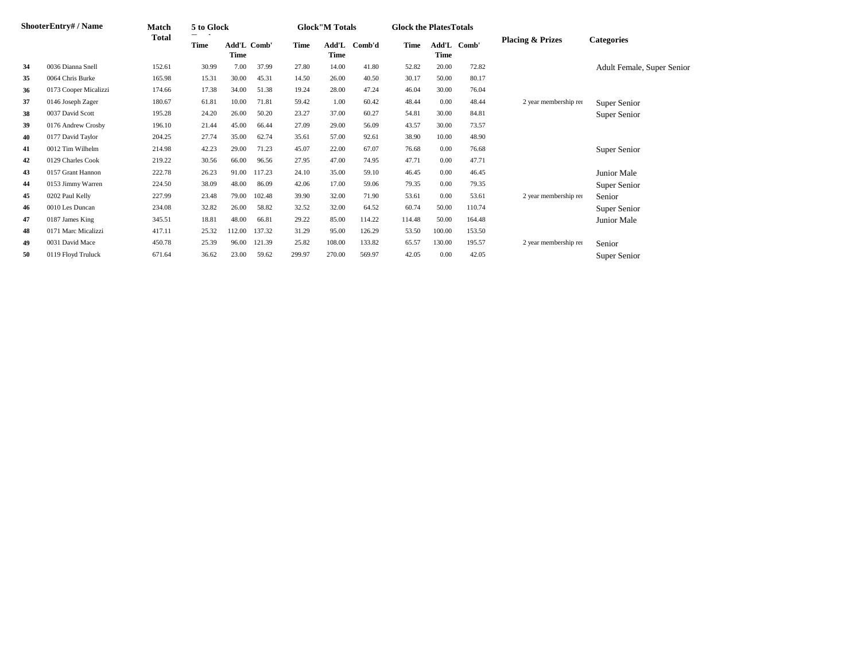|    | ShooterEntry# / Name  | Match        | 5 to Glock  |                            |        |             | <b>Glock</b> "M Totals |              | <b>Glock the PlatesTotals</b> |          |             |                             |                            |
|----|-----------------------|--------------|-------------|----------------------------|--------|-------------|------------------------|--------------|-------------------------------|----------|-------------|-----------------------------|----------------------------|
|    |                       | <b>Total</b> | <b>Time</b> | Add'L Comb'<br><b>Time</b> |        | <b>Time</b> | <b>Time</b>            | Add'L Comb'd | Time                          | Time     | Add'L Comb' | <b>Placing &amp; Prizes</b> | <b>Categories</b>          |
| 34 | 0036 Dianna Snell     | 152.61       | 30.99       | 7.00                       | 37.99  | 27.80       | 14.00                  | 41.80        | 52.82                         | 20.00    | 72.82       |                             | Adult Female, Super Senior |
| 35 | 0064 Chris Burke      | 165.98       | 15.31       | 30.00                      | 45.31  | 14.50       | 26.00                  | 40.50        | 30.17                         | 50.00    | 80.17       |                             |                            |
| 36 | 0173 Cooper Micalizzi | 174.66       | 17.38       | 34.00                      | 51.38  | 19.24       | 28.00                  | 47.24        | 46.04                         | 30.00    | 76.04       |                             |                            |
| 37 | 0146 Joseph Zager     | 180.67       | 61.81       | 10.00                      | 71.81  | 59.42       | 1.00                   | 60.42        | 48.44                         | $0.00\,$ | 48.44       | 2 year membership rer       | Super Senior               |
| 38 | 0037 David Scott      | 195.28       | 24.20       | 26.00                      | 50.20  | 23.27       | 37.00                  | 60.27        | 54.81                         | 30.00    | 84.81       |                             | Super Senior               |
| 39 | 0176 Andrew Crosby    | 196.10       | 21.44       | 45.00                      | 66.44  | 27.09       | 29.00                  | 56.09        | 43.57                         | 30.00    | 73.57       |                             |                            |
| 40 | 0177 David Taylor     | 204.25       | 27.74       | 35.00                      | 62.74  | 35.61       | 57.00                  | 92.61        | 38.90                         | 10.00    | 48.90       |                             |                            |
| 41 | 0012 Tim Wilhelm      | 214.98       | 42.23       | 29.00                      | 71.23  | 45.07       | 22.00                  | 67.07        | 76.68                         | 0.00     | 76.68       |                             | Super Senior               |
| 42 | 0129 Charles Cook     | 219.22       | 30.56       | 66.00                      | 96.56  | 27.95       | 47.00                  | 74.95        | 47.71                         | 0.00     | 47.71       |                             |                            |
| 43 | 0157 Grant Hannon     | 222.78       | 26.23       | 91.00                      | 117.23 | 24.10       | 35.00                  | 59.10        | 46.45                         | 0.00     | 46.45       |                             | Junior Male                |
| 44 | 0153 Jimmy Warren     | 224.50       | 38.09       | 48.00                      | 86.09  | 42.06       | 17.00                  | 59.06        | 79.35                         | 0.00     | 79.35       |                             | Super Senior               |
| 45 | 0202 Paul Kelly       | 227.99       | 23.48       | 79.00                      | 102.48 | 39.90       | 32.00                  | 71.90        | 53.61                         | 0.00     | 53.61       | 2 year membership ren       | Senior                     |
| 46 | 0010 Les Duncan       | 234.08       | 32.82       | 26.00                      | 58.82  | 32.52       | 32.00                  | 64.52        | 60.74                         | 50.00    | 110.74      |                             | Super Senior               |
| 47 | 0187 James King       | 345.51       | 18.81       | 48.00                      | 66.81  | 29.22       | 85.00                  | 114.22       | 114.48                        | 50.00    | 164.48      |                             | Junior Male                |
| 48 | 0171 Marc Micalizzi   | 417.11       | 25.32       | 112.00                     | 137.32 | 31.29       | 95.00                  | 126.29       | 53.50                         | 100.00   | 153.50      |                             |                            |
| 49 | 0031 David Mace       | 450.78       | 25.39       | 96.00                      | 121.39 | 25.82       | 108.00                 | 133.82       | 65.57                         | 130.00   | 195.57      | 2 year membership rer       | Senior                     |
| 50 | 0119 Floyd Truluck    | 671.64       | 36.62       | 23.00                      | 59.62  | 299.97      | 270.00                 | 569.97       | 42.05                         | 0.00     | 42.05       |                             | Super Senior               |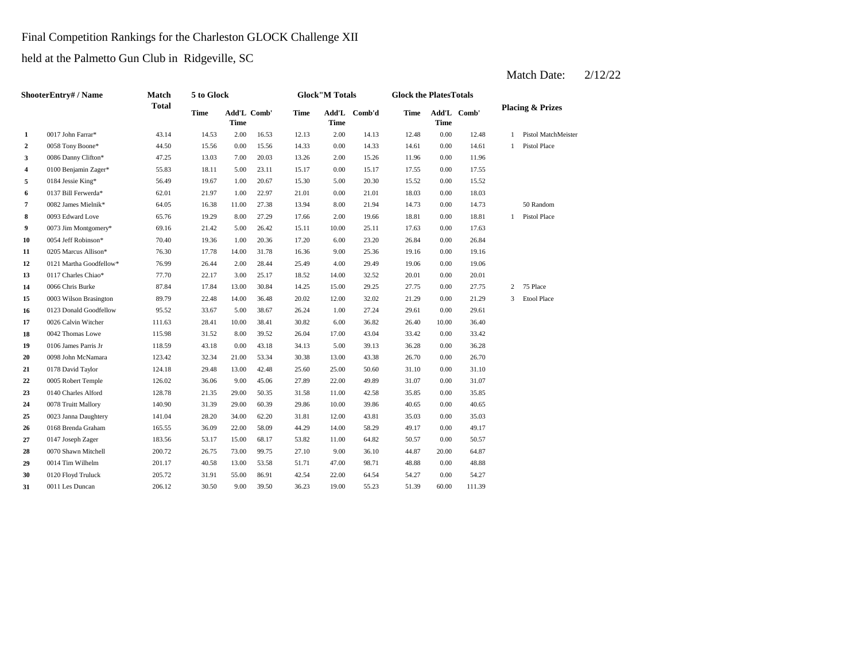Final Competition Rankings for the Charleston GLOCK Challenge XII

held at the Palmetto Gun Club in Ridgeville, SC

|              | <b>ShooterEntry# / Name</b> | <b>Match</b> | 5 to Glock  |             |             |             | <b>Glock"M Totals</b>                   |        | <b>Glock the PlatesTotals</b> |                            |        |                |                             |
|--------------|-----------------------------|--------------|-------------|-------------|-------------|-------------|-----------------------------------------|--------|-------------------------------|----------------------------|--------|----------------|-----------------------------|
|              |                             | <b>Total</b> | <b>Time</b> | <b>Time</b> | Add'L Comb' | <b>Time</b> | $\mathbf{Add}\mathbf{L}$<br><b>Time</b> | Comb'd | <b>Time</b>                   | Add'L Comb'<br><b>Time</b> |        |                | <b>Placing &amp; Prizes</b> |
| $\mathbf{1}$ | 0017 John Farrar*           | 43.14        | 14.53       | 2.00        | 16.53       | 12.13       | 2.00                                    | 14.13  | 12.48                         | 0.00                       | 12.48  |                | Pistol MatchMeister         |
| $\mathbf{2}$ | 0058 Tony Boone*            | 44.50        | 15.56       | 0.00        | 15.56       | 14.33       | 0.00                                    | 14.33  | 14.61                         | 0.00                       | 14.61  |                | <b>Pistol Place</b>         |
| 3            | 0086 Danny Clifton*         | 47.25        | 13.03       | 7.00        | 20.03       | 13.26       | 2.00                                    | 15.26  | 11.96                         | 0.00                       | 11.96  |                |                             |
| 4            | 0100 Benjamin Zager*        | 55.83        | 18.11       | 5.00        | 23.11       | 15.17       | 0.00                                    | 15.17  | 17.55                         | 0.00                       | 17.55  |                |                             |
| 5            | 0184 Jessie King*           | 56.49        | 19.67       | 1.00        | 20.67       | 15.30       | 5.00                                    | 20.30  | 15.52                         | 0.00                       | 15.52  |                |                             |
| 6            | 0137 Bill Ferwerda*         | 62.01        | 21.97       | 1.00        | 22.97       | 21.01       | 0.00                                    | 21.01  | 18.03                         | 0.00                       | 18.03  |                |                             |
| 7            | 0082 James Mielnik*         | 64.05        | 16.38       | 11.00       | 27.38       | 13.94       | 8.00                                    | 21.94  | 14.73                         | 0.00                       | 14.73  |                | 50 Random                   |
| 8            | 0093 Edward Love            | 65.76        | 19.29       | 8.00        | 27.29       | 17.66       | 2.00                                    | 19.66  | 18.81                         | 0.00                       | 18.81  |                | Pistol Place                |
| 9            | 0073 Jim Montgomery*        | 69.16        | 21.42       | 5.00        | 26.42       | 15.11       | 10.00                                   | 25.11  | 17.63                         | 0.00                       | 17.63  |                |                             |
| 10           | 0054 Jeff Robinson*         | 70.40        | 19.36       | 1.00        | 20.36       | 17.20       | 6.00                                    | 23.20  | 26.84                         | 0.00                       | 26.84  |                |                             |
| 11           | 0205 Marcus Allison*        | 76.30        | 17.78       | 14.00       | 31.78       | 16.36       | 9.00                                    | 25.36  | 19.16                         | 0.00                       | 19.16  |                |                             |
| 12           | 0121 Martha Goodfellow*     | 76.99        | 26.44       | 2.00        | 28.44       | 25.49       | 4.00                                    | 29.49  | 19.06                         | 0.00                       | 19.06  |                |                             |
| 13           | 0117 Charles Chiao*         | 77.70        | 22.17       | 3.00        | 25.17       | 18.52       | 14.00                                   | 32.52  | 20.01                         | 0.00                       | 20.01  |                |                             |
| 14           | 0066 Chris Burke            | 87.84        | 17.84       | 13.00       | 30.84       | 14.25       | 15.00                                   | 29.25  | 27.75                         | 0.00                       | 27.75  | $\overline{c}$ | 75 Place                    |
| 15           | 0003 Wilson Brasington      | 89.79        | 22.48       | 14.00       | 36.48       | 20.02       | 12.00                                   | 32.02  | 21.29                         | 0.00                       | 21.29  | 3              | <b>Etool Place</b>          |
| 16           | 0123 Donald Goodfellow      | 95.52        | 33.67       | 5.00        | 38.67       | 26.24       | 1.00                                    | 27.24  | 29.61                         | 0.00                       | 29.61  |                |                             |
| 17           | 0026 Calvin Witcher         | 111.63       | 28.41       | 10.00       | 38.41       | 30.82       | 6.00                                    | 36.82  | 26.40                         | 10.00                      | 36.40  |                |                             |
| 18           | 0042 Thomas Lowe            | 115.98       | 31.52       | 8.00        | 39.52       | 26.04       | 17.00                                   | 43.04  | 33.42                         | 0.00                       | 33.42  |                |                             |
| 19           | 0106 James Parris Jr        | 118.59       | 43.18       | 0.00        | 43.18       | 34.13       | 5.00                                    | 39.13  | 36.28                         | 0.00                       | 36.28  |                |                             |
| 20           | 0098 John McNamara          | 123.42       | 32.34       | 21.00       | 53.34       | 30.38       | 13.00                                   | 43.38  | 26.70                         | 0.00                       | 26.70  |                |                             |
| 21           | 0178 David Taylor           | 124.18       | 29.48       | 13.00       | 42.48       | 25.60       | 25.00                                   | 50.60  | 31.10                         | 0.00                       | 31.10  |                |                             |
| 22           | 0005 Robert Temple          | 126.02       | 36.06       | 9.00        | 45.06       | 27.89       | 22.00                                   | 49.89  | 31.07                         | 0.00                       | 31.07  |                |                             |
| 23           | 0140 Charles Alford         | 128.78       | 21.35       | 29.00       | 50.35       | 31.58       | 11.00                                   | 42.58  | 35.85                         | 0.00                       | 35.85  |                |                             |
| 24           | 0078 Truitt Mallory         | 140.90       | 31.39       | 29.00       | 60.39       | 29.86       | 10.00                                   | 39.86  | 40.65                         | 0.00                       | 40.65  |                |                             |
| 25           | 0023 Janna Daughtery        | 141.04       | 28.20       | 34.00       | 62.20       | 31.81       | 12.00                                   | 43.81  | 35.03                         | 0.00                       | 35.03  |                |                             |
| 26           | 0168 Brenda Graham          | 165.55       | 36.09       | 22.00       | 58.09       | 44.29       | 14.00                                   | 58.29  | 49.17                         | 0.00                       | 49.17  |                |                             |
| 27           | 0147 Joseph Zager           | 183.56       | 53.17       | 15.00       | 68.17       | 53.82       | 11.00                                   | 64.82  | 50.57                         | 0.00                       | 50.57  |                |                             |
| 28           | 0070 Shawn Mitchell         | 200.72       | 26.75       | 73.00       | 99.75       | 27.10       | 9.00                                    | 36.10  | 44.87                         | 20.00                      | 64.87  |                |                             |
| 29           | 0014 Tim Wilhelm            | 201.17       | 40.58       | 13.00       | 53.58       | 51.71       | 47.00                                   | 98.71  | 48.88                         | 0.00                       | 48.88  |                |                             |
| 30           | 0120 Floyd Truluck          | 205.72       | 31.91       | 55.00       | 86.91       | 42.54       | 22.00                                   | 64.54  | 54.27                         | 0.00                       | 54.27  |                |                             |
| 31           | 0011 Les Duncan             | 206.12       | 30.50       | 9.00        | 39.50       | 36.23       | 19.00                                   | 55.23  | 51.39                         | 60.00                      | 111.39 |                |                             |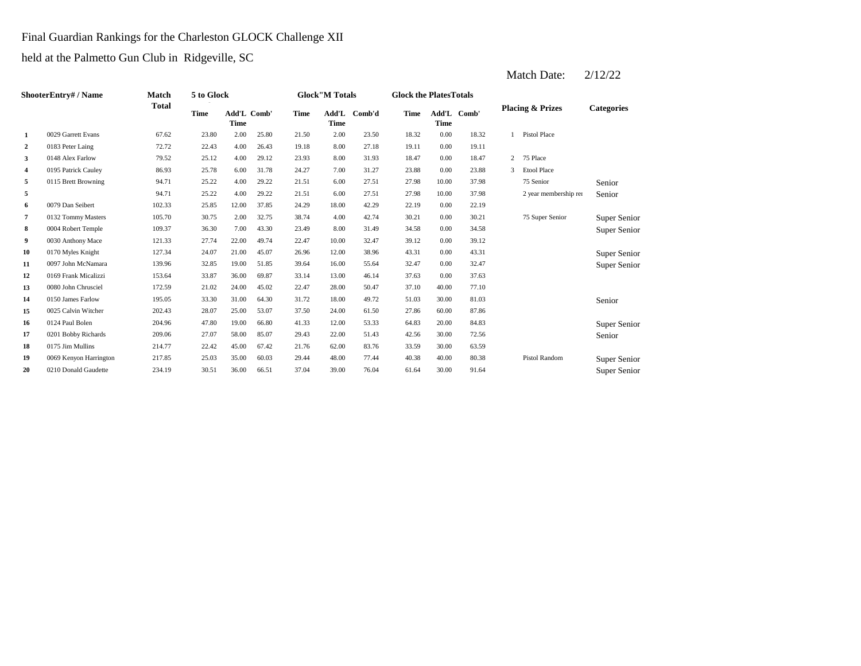## Final Guardian Rankings for the Charleston GLOCK Challenge XII

held at the Palmetto Gun Club in Ridgeville, SC

|                         | <b>ShooterEntry# / Name</b> | <b>Match</b> | 5 to Glock  |                                   |       |             | <b>Glock</b> "M Totals |        | <b>Glock the Plates Totals</b> |             |             |                |                             |                   |
|-------------------------|-----------------------------|--------------|-------------|-----------------------------------|-------|-------------|------------------------|--------|--------------------------------|-------------|-------------|----------------|-----------------------------|-------------------|
|                         |                             | <b>Total</b> | <b>Time</b> | <b>Add'L Comb'</b><br><b>Time</b> |       | <b>Time</b> | Add'L<br><b>Time</b>   | Comb'd | <b>Time</b>                    | <b>Time</b> | Add'L Comb' |                | <b>Placing &amp; Prizes</b> | <b>Categories</b> |
| 1                       | 0029 Garrett Evans          | 67.62        | 23.80       | 2.00                              | 25.80 | 21.50       | 2.00                   | 23.50  | 18.32                          | 0.00        | 18.32       | $\mathbf{1}$   | Pistol Place                |                   |
| $\boldsymbol{2}$        | 0183 Peter Laing            | 72.72        | 22.43       | 4.00                              | 26.43 | 19.18       | 8.00                   | 27.18  | 19.11                          | 0.00        | 19.11       |                |                             |                   |
| 3                       | 0148 Alex Farlow            | 79.52        | 25.12       | 4.00                              | 29.12 | 23.93       | 8.00                   | 31.93  | 18.47                          | 0.00        | 18.47       | $\overline{2}$ | 75 Place                    |                   |
| $\overline{\mathbf{4}}$ | 0195 Patrick Cauley         | 86.93        | 25.78       | 6.00                              | 31.78 | 24.27       | 7.00                   | 31.27  | 23.88                          | 0.00        | 23.88       | $\mathcal{R}$  | <b>Etool Place</b>          |                   |
| 5                       | 0115 Brett Browning         | 94.71        | 25.22       | 4.00                              | 29.22 | 21.51       | 6.00                   | 27.51  | 27.98                          | 10.00       | 37.98       |                | 75 Senior                   | Senior            |
| 5                       |                             | 94.71        | 25.22       | 4.00                              | 29.22 | 21.51       | 6.00                   | 27.51  | 27.98                          | 10.00       | 37.98       |                | 2 year membership rer       | Senior            |
| 6                       | 0079 Dan Seibert            | 102.33       | 25.85       | 12.00                             | 37.85 | 24.29       | 18.00                  | 42.29  | 22.19                          | 0.00        | 22.19       |                |                             |                   |
| 7                       | 0132 Tommy Masters          | 105.70       | 30.75       | 2.00                              | 32.75 | 38.74       | 4.00                   | 42.74  | 30.21                          | 0.00        | 30.21       |                | 75 Super Senior             | Super Senior      |
| 8                       | 0004 Robert Temple          | 109.37       | 36.30       | 7.00                              | 43.30 | 23.49       | 8.00                   | 31.49  | 34.58                          | 0.00        | 34.58       |                |                             | Super Senior      |
| 9                       | 0030 Anthony Mace           | 121.33       | 27.74       | 22.00                             | 49.74 | 22.47       | 10.00                  | 32.47  | 39.12                          | 0.00        | 39.12       |                |                             |                   |
| 10                      | 0170 Myles Knight           | 127.34       | 24.07       | 21.00                             | 45.07 | 26.96       | 12.00                  | 38.96  | 43.31                          | 0.00        | 43.31       |                |                             | Super Senior      |
| 11                      | 0097 John McNamara          | 139.96       | 32.85       | 19.00                             | 51.85 | 39.64       | 16.00                  | 55.64  | 32.47                          | 0.00        | 32.47       |                |                             | Super Senior      |
| 12                      | 0169 Frank Micalizzi        | 153.64       | 33.87       | 36.00                             | 69.87 | 33.14       | 13.00                  | 46.14  | 37.63                          | 0.00        | 37.63       |                |                             |                   |
| 13                      | 0080 John Chrusciel         | 172.59       | 21.02       | 24.00                             | 45.02 | 22.47       | 28.00                  | 50.47  | 37.10                          | 40.00       | 77.10       |                |                             |                   |
| 14                      | 0150 James Farlow           | 195.05       | 33.30       | 31.00                             | 64.30 | 31.72       | 18.00                  | 49.72  | 51.03                          | 30.00       | 81.03       |                |                             | Senior            |
| 15                      | 0025 Calvin Witcher         | 202.43       | 28.07       | 25.00                             | 53.07 | 37.50       | 24.00                  | 61.50  | 27.86                          | 60.00       | 87.86       |                |                             |                   |
| 16                      | 0124 Paul Bolen             | 204.96       | 47.80       | 19.00                             | 66.80 | 41.33       | 12.00                  | 53.33  | 64.83                          | 20.00       | 84.83       |                |                             | Super Senior      |
| 17                      | 0201 Bobby Richards         | 209.06       | 27.07       | 58.00                             | 85.07 | 29.43       | 22.00                  | 51.43  | 42.56                          | 30.00       | 72.56       |                |                             | Senior            |
| 18                      | 0175 Jim Mullins            | 214.77       | 22.42       | 45.00                             | 67.42 | 21.76       | 62.00                  | 83.76  | 33.59                          | 30.00       | 63.59       |                |                             |                   |
| 19                      | 0069 Kenyon Harrington      | 217.85       | 25.03       | 35.00                             | 60.03 | 29.44       | 48.00                  | 77.44  | 40.38                          | 40.00       | 80.38       |                | Pistol Random               | Super Senior      |
| 20                      | 0210 Donald Gaudette        | 234.19       | 30.51       | 36.00                             | 66.51 | 37.04       | 39.00                  | 76.04  | 61.64                          | 30.00       | 91.64       |                |                             | Super Senior      |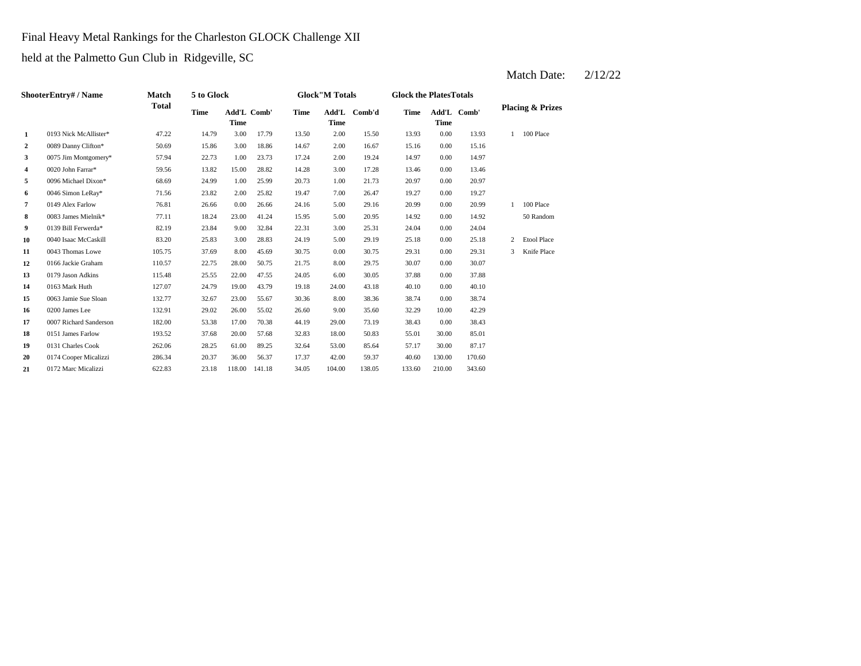Final Heavy Metal Rankings for the Charleston GLOCK Challenge XII

held at the Palmetto Gun Club in Ridgeville, SC

|                | ShooterEntry# / Name   | <b>Match</b> | 5 to Glock  |                            |        |             | <b>Glock</b> "M Totals |              | <b>Glock the PlatesTotals</b> |             |             |              |                             |
|----------------|------------------------|--------------|-------------|----------------------------|--------|-------------|------------------------|--------------|-------------------------------|-------------|-------------|--------------|-----------------------------|
|                |                        | <b>Total</b> | <b>Time</b> | Add'L Comb'<br><b>Time</b> |        | <b>Time</b> | <b>Time</b>            | Add'L Comb'd | <b>Time</b>                   | <b>Time</b> | Add'L Comb' |              | <b>Placing &amp; Prizes</b> |
| 1              | 0193 Nick McAllister*  | 47.22        | 14.79       | 3.00                       | 17.79  | 13.50       | 2.00                   | 15.50        | 13.93                         | 0.00        | 13.93       | $\mathbf{1}$ | 100 Place                   |
| $\overline{2}$ | 0089 Danny Clifton*    | 50.69        | 15.86       | 3.00                       | 18.86  | 14.67       | 2.00                   | 16.67        | 15.16                         | 0.00        | 15.16       |              |                             |
| 3              | 0075 Jim Montgomery*   | 57.94        | 22.73       | 1.00                       | 23.73  | 17.24       | 2.00                   | 19.24        | 14.97                         | 0.00        | 14.97       |              |                             |
| 4              | 0020 John Farrar*      | 59.56        | 13.82       | 15.00                      | 28.82  | 14.28       | 3.00                   | 17.28        | 13.46                         | 0.00        | 13.46       |              |                             |
| 5              | 0096 Michael Dixon*    | 68.69        | 24.99       | 1.00                       | 25.99  | 20.73       | 1.00                   | 21.73        | 20.97                         | 0.00        | 20.97       |              |                             |
| 6              | 0046 Simon LeRay*      | 71.56        | 23.82       | 2.00                       | 25.82  | 19.47       | 7.00                   | 26.47        | 19.27                         | 0.00        | 19.27       |              |                             |
| 7              | 0149 Alex Farlow       | 76.81        | 26.66       | 0.00                       | 26.66  | 24.16       | 5.00                   | 29.16        | 20.99                         | 0.00        | 20.99       |              | 100 Place                   |
| 8              | 0083 James Mielnik*    | 77.11        | 18.24       | 23.00                      | 41.24  | 15.95       | 5.00                   | 20.95        | 14.92                         | 0.00        | 14.92       |              | 50 Random                   |
| 9              | 0139 Bill Ferwerda*    | 82.19        | 23.84       | 9.00                       | 32.84  | 22.31       | 3.00                   | 25.31        | 24.04                         | 0.00        | 24.04       |              |                             |
| 10             | 0040 Isaac McCaskill   | 83.20        | 25.83       | 3.00                       | 28.83  | 24.19       | 5.00                   | 29.19        | 25.18                         | 0.00        | 25.18       | 2            | <b>Etool Place</b>          |
| 11             | 0043 Thomas Lowe       | 105.75       | 37.69       | 8.00                       | 45.69  | 30.75       | 0.00                   | 30.75        | 29.31                         | 0.00        | 29.31       | 3            | Knife Place                 |
| 12             | 0166 Jackie Graham     | 110.57       | 22.75       | 28.00                      | 50.75  | 21.75       | 8.00                   | 29.75        | 30.07                         | 0.00        | 30.07       |              |                             |
| 13             | 0179 Jason Adkins      | 115.48       | 25.55       | 22.00                      | 47.55  | 24.05       | 6.00                   | 30.05        | 37.88                         | 0.00        | 37.88       |              |                             |
| 14             | 0163 Mark Huth         | 127.07       | 24.79       | 19.00                      | 43.79  | 19.18       | 24.00                  | 43.18        | 40.10                         | 0.00        | 40.10       |              |                             |
| 15             | 0063 Jamie Sue Sloan   | 132.77       | 32.67       | 23.00                      | 55.67  | 30.36       | 8.00                   | 38.36        | 38.74                         | 0.00        | 38.74       |              |                             |
| 16             | 0200 James Lee         | 132.91       | 29.02       | 26.00                      | 55.02  | 26.60       | 9.00                   | 35.60        | 32.29                         | 10.00       | 42.29       |              |                             |
| 17             | 0007 Richard Sanderson | 182.00       | 53.38       | 17.00                      | 70.38  | 44.19       | 29.00                  | 73.19        | 38.43                         | 0.00        | 38.43       |              |                             |
| 18             | 0151 James Farlow      | 193.52       | 37.68       | 20.00                      | 57.68  | 32.83       | 18.00                  | 50.83        | 55.01                         | 30.00       | 85.01       |              |                             |
| 19             | 0131 Charles Cook      | 262.06       | 28.25       | 61.00                      | 89.25  | 32.64       | 53.00                  | 85.64        | 57.17                         | 30.00       | 87.17       |              |                             |
| 20             | 0174 Cooper Micalizzi  | 286.34       | 20.37       | 36.00                      | 56.37  | 17.37       | 42.00                  | 59.37        | 40.60                         | 130.00      | 170.60      |              |                             |
| 21             | 0172 Marc Micalizzi    | 622.83       | 23.18       | 118.00                     | 141.18 | 34.05       | 104.00                 | 138.05       | 133.60                        | 210.00      | 343.60      |              |                             |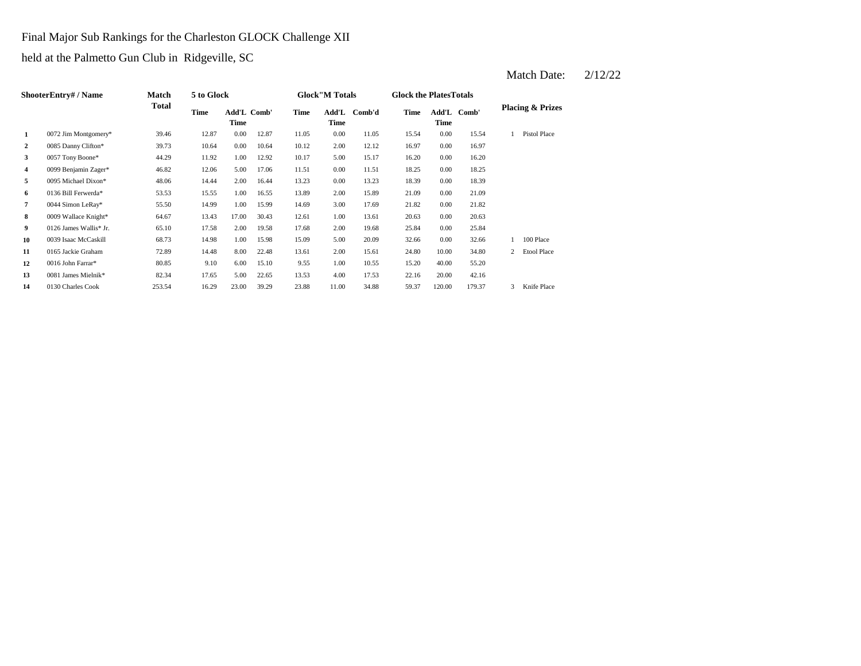Final Major Sub Rankings for the Charleston GLOCK Challenge XII

held at the Palmetto Gun Club in Ridgeville, SC

|                | <b>ShooterEntry# / Name</b> | <b>Match</b> | 5 to Glock  |                     |       |             | <b>Glock</b> "M Totals |        | <b>Glock the PlatesTotals</b> |             |             |   |                             |
|----------------|-----------------------------|--------------|-------------|---------------------|-------|-------------|------------------------|--------|-------------------------------|-------------|-------------|---|-----------------------------|
|                |                             | <b>Total</b> | <b>Time</b> | Add'L Comb'<br>Time |       | <b>Time</b> | Add'L<br><b>Time</b>   | Comb'd | <b>Time</b>                   | <b>Time</b> | Add'L Comb' |   | <b>Placing &amp; Prizes</b> |
| 1              | 0072 Jim Montgomery*        | 39.46        | 12.87       | 0.00                | 12.87 | 11.05       | 0.00                   | 11.05  | 15.54                         | 0.00        | 15.54       |   | Pistol Place                |
| $\overline{2}$ | 0085 Danny Clifton*         | 39.73        | 10.64       | 0.00                | 10.64 | 10.12       | 2.00                   | 12.12  | 16.97                         | $0.00\,$    | 16.97       |   |                             |
| 3              | 0057 Tony Boone*            | 44.29        | 11.92       | 1.00                | 12.92 | 10.17       | 5.00                   | 15.17  | 16.20                         | 0.00        | 16.20       |   |                             |
| 4              | 0099 Benjamin Zager*        | 46.82        | 12.06       | 5.00                | 17.06 | 11.51       | 0.00                   | 11.51  | 18.25                         | $0.00\,$    | 18.25       |   |                             |
| 5              | 0095 Michael Dixon*         | 48.06        | 14.44       | 2.00                | 16.44 | 13.23       | 0.00                   | 13.23  | 18.39                         | 0.00        | 18.39       |   |                             |
| 6              | 0136 Bill Ferwerda*         | 53.53        | 15.55       | 1.00                | 16.55 | 13.89       | 2.00                   | 15.89  | 21.09                         | $0.00\,$    | 21.09       |   |                             |
| 7              | 0044 Simon LeRay*           | 55.50        | 14.99       | 1.00                | 15.99 | 14.69       | 3.00                   | 17.69  | 21.82                         | 0.00        | 21.82       |   |                             |
| 8              | 0009 Wallace Knight*        | 64.67        | 13.43       | 17.00               | 30.43 | 12.61       | 1.00                   | 13.61  | 20.63                         | 0.00        | 20.63       |   |                             |
| 9              | 0126 James Wallis* Jr.      | 65.10        | 17.58       | 2.00                | 19.58 | 17.68       | 2.00                   | 19.68  | 25.84                         | 0.00        | 25.84       |   |                             |
| 10             | 0039 Isaac McCaskill        | 68.73        | 14.98       | 1.00                | 15.98 | 15.09       | 5.00                   | 20.09  | 32.66                         | 0.00        | 32.66       |   | 100 Place                   |
| 11             | 0165 Jackie Graham          | 72.89        | 14.48       | 8.00                | 22.48 | 13.61       | 2.00                   | 15.61  | 24.80                         | 10.00       | 34.80       | 2 | <b>Etool Place</b>          |
| 12             | 0016 John Farrar*           | 80.85        | 9.10        | 6.00                | 15.10 | 9.55        | 1.00                   | 10.55  | 15.20                         | 40.00       | 55.20       |   |                             |
| 13             | 0081 James Mielnik*         | 82.34        | 17.65       | 5.00                | 22.65 | 13.53       | 4.00                   | 17.53  | 22.16                         | 20.00       | 42.16       |   |                             |
| 14             | 0130 Charles Cook           | 253.54       | 16.29       | 23.00               | 39.29 | 23.88       | 11.00                  | 34.88  | 59.37                         | 120.00      | 179.37      | 3 | Knife Place                 |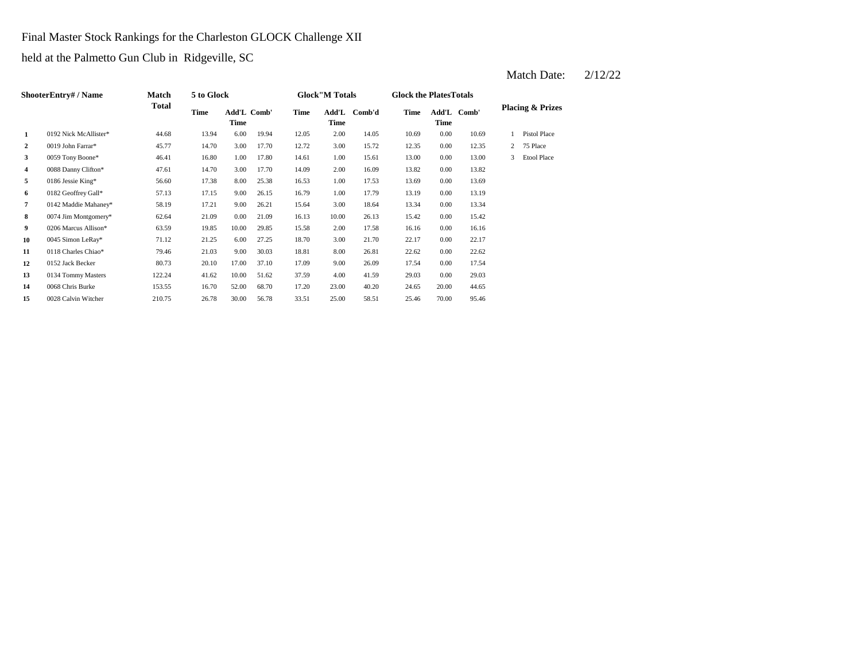Final Master Stock Rankings for the Charleston GLOCK Challenge XII

held at the Palmetto Gun Club in Ridgeville, SC

|    | <b>ShooterEntry# / Name</b> | <b>Match</b> | 5 to Glock |                     |       |       | <b>Glock</b> "M Totals                  |        | <b>Glock the PlatesTotals</b> |          |             |   |                             |
|----|-----------------------------|--------------|------------|---------------------|-------|-------|-----------------------------------------|--------|-------------------------------|----------|-------------|---|-----------------------------|
|    |                             | <b>Total</b> | Time       | Add'L Comb'<br>Time |       | Time  | $\mathbf{Add}\mathbf{L}$<br><b>Time</b> | Comb'd | <b>Time</b>                   | Time     | Add'L Comb' |   | <b>Placing &amp; Prizes</b> |
| 1  | 0192 Nick McAllister*       | 44.68        | 13.94      | 6.00                | 19.94 | 12.05 | 2.00                                    | 14.05  | 10.69                         | 0.00     | 10.69       |   | Pistol Place                |
| 2  | 0019 John Farrar*           | 45.77        | 14.70      | 3.00                | 17.70 | 12.72 | 3.00                                    | 15.72  | 12.35                         | 0.00     | 12.35       | 2 | 75 Place                    |
| 3  | 0059 Tony Boone*            | 46.41        | 16.80      | 1.00                | 17.80 | 14.61 | 1.00                                    | 15.61  | 13.00                         | 0.00     | 13.00       | 3 | <b>Etool Place</b>          |
| 4  | 0088 Danny Clifton*         | 47.61        | 14.70      | 3.00                | 17.70 | 14.09 | 2.00                                    | 16.09  | 13.82                         | 0.00     | 13.82       |   |                             |
| 5  | 0186 Jessie King*           | 56.60        | 17.38      | 8.00                | 25.38 | 16.53 | 1.00                                    | 17.53  | 13.69                         | 0.00     | 13.69       |   |                             |
| 6  | 0182 Geoffrey Gall*         | 57.13        | 17.15      | 9.00                | 26.15 | 16.79 | 1.00                                    | 17.79  | 13.19                         | 0.00     | 13.19       |   |                             |
| 7  | 0142 Maddie Mahaney*        | 58.19        | 17.21      | 9.00                | 26.21 | 15.64 | 3.00                                    | 18.64  | 13.34                         | 0.00     | 13.34       |   |                             |
| 8  | $0074$ Jim Montgomery*      | 62.64        | 21.09      | 0.00                | 21.09 | 16.13 | 10.00                                   | 26.13  | 15.42                         | $0.00\,$ | 15.42       |   |                             |
| 9  | 0206 Marcus Allison*        | 63.59        | 19.85      | 10.00               | 29.85 | 15.58 | 2.00                                    | 17.58  | 16.16                         | $0.00\,$ | 16.16       |   |                             |
| 10 | 0045 Simon LeRay*           | 71.12        | 21.25      | 6.00                | 27.25 | 18.70 | 3.00                                    | 21.70  | 22.17                         | $0.00\,$ | 22.17       |   |                             |
| 11 | 0118 Charles Chiao*         | 79.46        | 21.03      | 9.00                | 30.03 | 18.81 | 8.00                                    | 26.81  | 22.62                         | $0.00\,$ | 22.62       |   |                             |
| 12 | 0152 Jack Becker            | 80.73        | 20.10      | 17.00               | 37.10 | 17.09 | 9.00                                    | 26.09  | 17.54                         | $0.00\,$ | 17.54       |   |                             |
| 13 | 0134 Tommy Masters          | 122.24       | 41.62      | 10.00               | 51.62 | 37.59 | 4.00                                    | 41.59  | 29.03                         | $0.00\,$ | 29.03       |   |                             |
| 14 | 0068 Chris Burke            | 153.55       | 16.70      | 52.00               | 68.70 | 17.20 | 23.00                                   | 40.20  | 24.65                         | 20.00    | 44.65       |   |                             |
| 15 | 0028 Calvin Witcher         | 210.75       | 26.78      | 30.00               | 56.78 | 33.51 | 25.00                                   | 58.51  | 25.46                         | 70.00    | 95.46       |   |                             |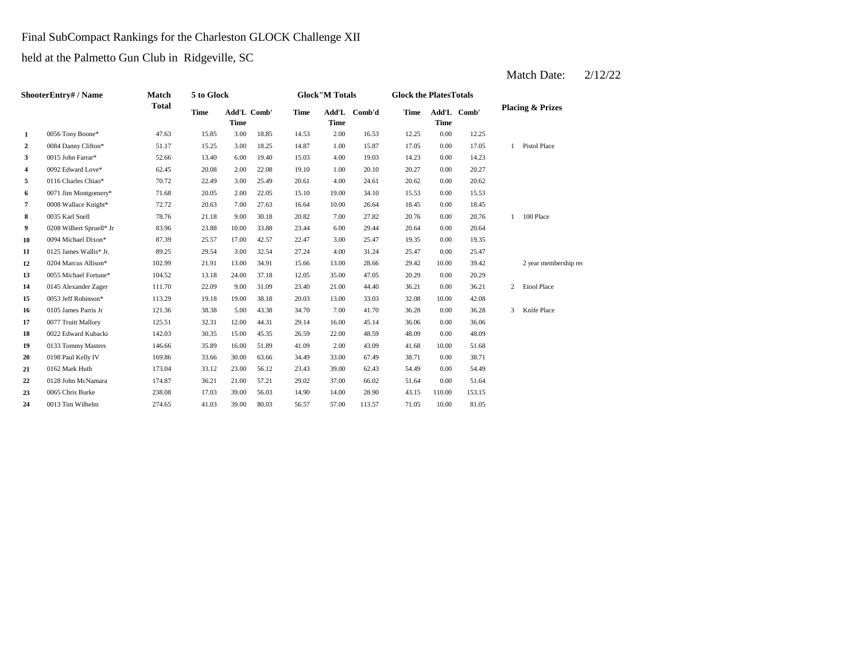Final SubCompact Rankings for the Charleston GLOCK Challenge XII

held at the Palmetto Gun Club in Ridgeville, SC

| <b>ShooterEntry#/Name</b> |                          | <b>Match</b><br><b>Total</b> | 5 to Glock  |             |             | <b>Glock</b> "M Totals |             |              | <b>Glock the PlatesTotals</b> |             |             |                             |                       |
|---------------------------|--------------------------|------------------------------|-------------|-------------|-------------|------------------------|-------------|--------------|-------------------------------|-------------|-------------|-----------------------------|-----------------------|
|                           |                          |                              | <b>Time</b> | <b>Time</b> | Add'L Comb' | Time                   | <b>Time</b> | Add'L Comb'd | <b>Time</b>                   | <b>Time</b> | Add'L Comb' | <b>Placing &amp; Prizes</b> |                       |
| 1                         | 0056 Tony Boone*         | 47.63                        | 15.85       | 3.00        | 18.85       | 14.53                  | 2.00        | 16.53        | 12.25                         | 0.00        | 12.25       |                             |                       |
| $\overline{2}$            | 0084 Danny Clifton*      | 51.17                        | 15.25       | 3.00        | 18.25       | 14.87                  | 1.00        | 15.87        | 17.05                         | 0.00        | 17.05       | $\mathbf{1}$                | Pistol Place          |
| 3                         | 0015 John Farrar*        | 52.66                        | 13.40       | 6.00        | 19.40       | 15.03                  | 4.00        | 19.03        | 14.23                         | 0.00        | 14.23       |                             |                       |
| 4                         | 0092 Edward Love*        | 62.45                        | 20.08       | 2.00        | 22.08       | 19.10                  | 1.00        | 20.10        | 20.27                         | 0.00        | 20.27       |                             |                       |
| 5                         | 0116 Charles Chiao*      | 70.72                        | 22.49       | 3.00        | 25.49       | 20.61                  | 4.00        | 24.61        | 20.62                         | 0.00        | 20.62       |                             |                       |
| 6                         | 0071 Jim Montgomery*     | 71.68                        | 20.05       | 2.00        | 22.05       | 15.10                  | 19.00       | 34.10        | 15.53                         | 0.00        | 15.53       |                             |                       |
| 7                         | 0008 Wallace Knight*     | 72.72                        | 20.63       | 7.00        | 27.63       | 16.64                  | 10.00       | 26.64        | 18.45                         | 0.00        | 18.45       |                             |                       |
| 8                         | 0035 Karl Snell          | 78.76                        | 21.18       | 9.00        | 30.18       | 20.82                  | 7.00        | 27.82        | 20.76                         | 0.00        | 20.76       | 1                           | 100 Place             |
| 9                         | 0208 Wilbert Spruell* Jr | 83.96                        | 23.88       | 10.00       | 33.88       | 23.44                  | 6.00        | 29.44        | 20.64                         | 0.00        | 20.64       |                             |                       |
| 10                        | 0094 Michael Dixon*      | 87.39                        | 25.57       | 17.00       | 42.57       | 22.47                  | 3.00        | 25.47        | 19.35                         | 0.00        | 19.35       |                             |                       |
| 11                        | 0125 James Wallis* Jr.   | 89.25                        | 29.54       | 3.00        | 32.54       | 27.24                  | 4.00        | 31.24        | 25.47                         | 0.00        | 25.47       |                             |                       |
| 12                        | 0204 Marcus Allison*     | 102.99                       | 21.91       | 13.00       | 34.91       | 15.66                  | 13.00       | 28.66        | 29.42                         | 10.00       | 39.42       |                             | 2 year membership rer |
| 13                        | 0055 Michael Fortune*    | 104.52                       | 13.18       | 24.00       | 37.18       | 12.05                  | 35.00       | 47.05        | 20.29                         | 0.00        | 20.29       |                             |                       |
| 14                        | 0145 Alexander Zager     | 111.70                       | 22.09       | 9.00        | 31.09       | 23.40                  | 21.00       | 44.40        | 36.21                         | 0.00        | 36.21       | 2                           | Etool Place           |
| 15                        | 0053 Jeff Robinson*      | 113.29                       | 19.18       | 19.00       | 38.18       | 20.03                  | 13.00       | 33.03        | 32.08                         | 10.00       | 42.08       |                             |                       |
| 16                        | 0105 James Parris Jr     | 121.36                       | 38.38       | 5.00        | 43.38       | 34.70                  | 7.00        | 41.70        | 36.28                         | 0.00        | 36.28       | 3                           | Knife Place           |
| 17                        | 0077 Truitt Mallory      | 125.51                       | 32.31       | 12.00       | 44.31       | 29.14                  | 16.00       | 45.14        | 36.06                         | 0.00        | 36.06       |                             |                       |
| 18                        | 0022 Edward Kubacki      | 142.03                       | 30.35       | 15.00       | 45.35       | 26.59                  | 22.00       | 48.59        | 48.09                         | 0.00        | 48.09       |                             |                       |
| 19                        | 0133 Tommy Masters       | 146.66                       | 35.89       | 16.00       | 51.89       | 41.09                  | 2.00        | 43.09        | 41.68                         | 10.00       | 51.68       |                             |                       |
| 20                        | 0198 Paul Kelly IV       | 169.86                       | 33.66       | 30.00       | 63.66       | 34.49                  | 33.00       | 67.49        | 38.71                         | 0.00        | 38.71       |                             |                       |
| 21                        | 0162 Mark Huth           | 173.04                       | 33.12       | 23.00       | 56.12       | 23.43                  | 39.00       | 62.43        | 54.49                         | 0.00        | 54.49       |                             |                       |
| 22                        | 0128 John McNamara       | 174.87                       | 36.21       | 21.00       | 57.21       | 29.02                  | 37.00       | 66.02        | 51.64                         | 0.00        | 51.64       |                             |                       |
| 23                        | 0065 Chris Burke         | 238.08                       | 17.03       | 39.00       | 56.03       | 14.90                  | 14.00       | 28.90        | 43.15                         | 110.00      | 153.15      |                             |                       |
| 24                        | 0013 Tim Wilhelm         | 274.65                       | 41.03       | 39.00       | 80.03       | 56.57                  | 57.00       | 113.57       | 71.05                         | 10.00       | 81.05       |                             |                       |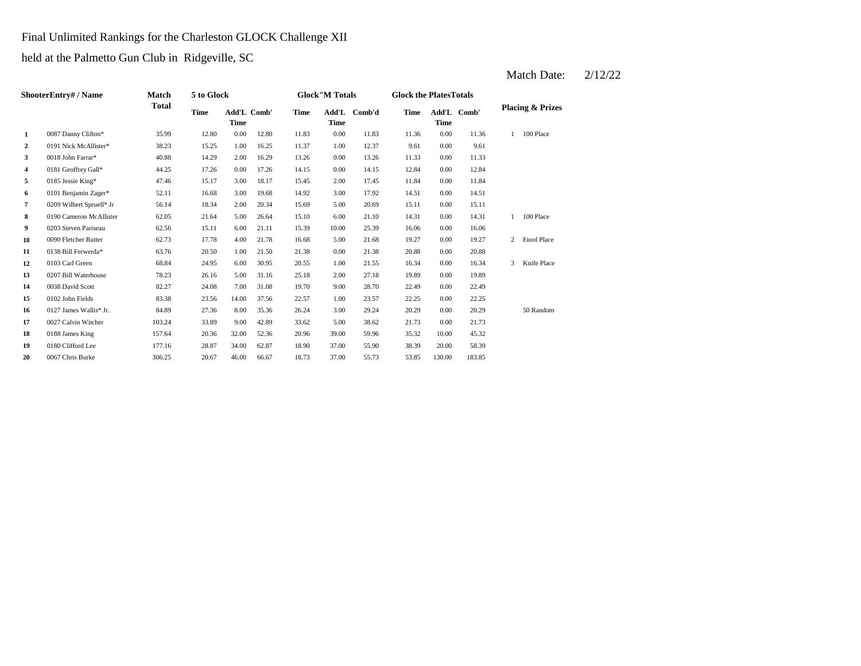## Final Unlimited Rankings for the Charleston GLOCK Challenge XII

held at the Palmetto Gun Club in Ridgeville, SC

| <b>ShooterEntry#/Name</b> |                          | <b>Match</b><br><b>Total</b> | 5 to Glock  |                            |       |             | <b>Glock</b> "M Totals                  |        |             | <b>Glock the Plates Totals</b> |             |                             |                    |
|---------------------------|--------------------------|------------------------------|-------------|----------------------------|-------|-------------|-----------------------------------------|--------|-------------|--------------------------------|-------------|-----------------------------|--------------------|
|                           |                          |                              | <b>Time</b> | Add'L Comb'<br><b>Time</b> |       | <b>Time</b> | $\mathbf{Add}\mathbf{L}$<br><b>Time</b> | Comb'd | <b>Time</b> | <b>Time</b>                    | Add'L Comb' | <b>Placing &amp; Prizes</b> |                    |
| 1                         | 0087 Danny Clifton*      | 35.99                        | 12.80       | 0.00                       | 12.80 | 11.83       | 0.00                                    | 11.83  | 11.36       | 0.00                           | 11.36       |                             | 100 Place          |
| $\overline{2}$            | 0191 Nick McAllister*    | 38.23                        | 15.25       | 1.00                       | 16.25 | 11.37       | 1.00                                    | 12.37  | 9.61        | 0.00                           | 9.61        |                             |                    |
| 3                         | 0018 John Farrar*        | 40.88                        | 14.29       | 2.00                       | 16.29 | 13.26       | 0.00                                    | 13.26  | 11.33       | 0.00                           | 11.33       |                             |                    |
| $\overline{4}$            | 0181 Geoffrey Gall*      | 44.25                        | 17.26       | 0.00                       | 17.26 | 14.15       | 0.00                                    | 14.15  | 12.84       | 0.00                           | 12.84       |                             |                    |
| 5                         | 0185 Jessie King*        | 47.46                        | 15.17       | 3.00                       | 18.17 | 15.45       | 2.00                                    | 17.45  | 11.84       | 0.00                           | 11.84       |                             |                    |
| 6                         | 0101 Benjamin Zager*     | 52.11                        | 16.68       | 3.00                       | 19.68 | 14.92       | 3.00                                    | 17.92  | 14.51       | 0.00                           | 14.51       |                             |                    |
| 7                         | 0209 Wilbert Spruell* Jr | 56.14                        | 18.34       | 2.00                       | 20.34 | 15.69       | 5.00                                    | 20.69  | 15.11       | 0.00                           | 15.11       |                             |                    |
| 8                         | 0190 Cameron McAllister  | 62.05                        | 21.64       | 5.00                       | 26.64 | 15.10       | 6.00                                    | 21.10  | 14.31       | 0.00                           | 14.31       |                             | 100 Place          |
| 9                         | 0203 Steven Pariseau     | 62.56                        | 15.11       | 6.00                       | 21.11 | 15.39       | 10.00                                   | 25.39  | 16.06       | 0.00                           | 16.06       |                             |                    |
| 10                        | 0090 Fletcher Rutter     | 62.73                        | 17.78       | 4.00                       | 21.78 | 16.68       | 5.00                                    | 21.68  | 19.27       | 0.00                           | 19.27       | $\overline{2}$              | <b>Etool Place</b> |
| 11                        | 0138 Bill Ferwerda*      | 63.76                        | 20.50       | 1.00                       | 21.50 | 21.38       | 0.00                                    | 21.38  | 20.88       | 0.00                           | 20.88       |                             |                    |
| 12                        | 0103 Carl Green          | 68.84                        | 24.95       | 6.00                       | 30.95 | 20.55       | 1.00                                    | 21.55  | 16.34       | 0.00                           | 16.34       | 3                           | Knife Place        |
| 13                        | 0207 Bill Waterhouse     | 78.23                        | 26.16       | 5.00                       | 31.16 | 25.18       | 2.00                                    | 27.18  | 19.89       | 0.00                           | 19.89       |                             |                    |
| 14                        | 0038 David Scott         | 82.27                        | 24.08       | 7.00                       | 31.08 | 19.70       | 9.00                                    | 28.70  | 22.49       | 0.00                           | 22.49       |                             |                    |
| 15                        | 0102 John Fields         | 83.38                        | 23.56       | 14.00                      | 37.56 | 22.57       | 1.00                                    | 23.57  | 22.25       | 0.00                           | 22.25       |                             |                    |
| 16                        | 0127 James Wallis* Jr.   | 84.89                        | 27.36       | 8.00                       | 35.36 | 26.24       | 3.00                                    | 29.24  | 20.29       | 0.00                           | 20.29       |                             | 50 Random          |
| 17                        | 0027 Calvin Witcher      | 103.24                       | 33.89       | 9.00                       | 42.89 | 33.62       | 5.00                                    | 38.62  | 21.73       | 0.00                           | 21.73       |                             |                    |
| 18                        | 0188 James King          | 157.64                       | 20.36       | 32.00                      | 52.36 | 20.96       | 39.00                                   | 59.96  | 35.32       | 10.00                          | 45.32       |                             |                    |
| 19                        | 0180 Clifford Lee        | 177.16                       | 28.87       | 34.00                      | 62.87 | 18.90       | 37.00                                   | 55.90  | 38.39       | 20.00                          | 58.39       |                             |                    |
| 20                        | 0067 Chris Burke         | 306.25                       | 20.67       | 46.00                      | 66.67 | 18.73       | 37.00                                   | 55.73  | 53.85       | 130.00                         | 183.85      |                             |                    |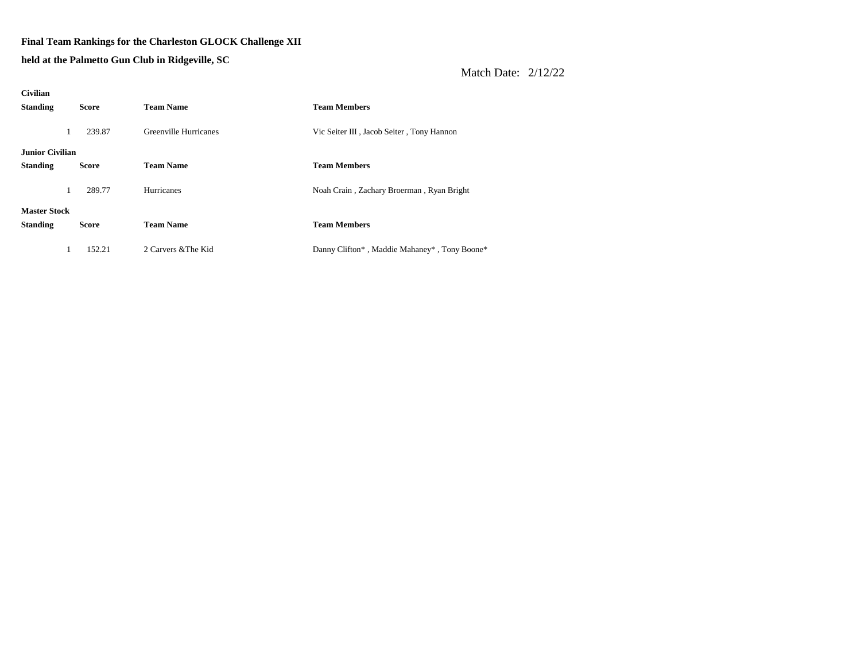#### **Final Team Rankings for the Charleston GLOCK Challenge XII**

**held at the Palmetto Gun Club in Ridgeville, SC**

| <b>Civilian</b>        |              |                       |                                              |
|------------------------|--------------|-----------------------|----------------------------------------------|
| <b>Standing</b>        | <b>Score</b> | <b>Team Name</b>      | <b>Team Members</b>                          |
|                        |              |                       |                                              |
| $\perp$                | 239.87       | Greenville Hurricanes | Vic Seiter III, Jacob Seiter, Tony Hannon    |
| <b>Junior Civilian</b> |              |                       |                                              |
|                        |              |                       |                                              |
| <b>Standing</b>        | <b>Score</b> | <b>Team Name</b>      | <b>Team Members</b>                          |
|                        | 289.77       | Hurricanes            | Noah Crain, Zachary Broerman, Ryan Bright    |
|                        |              |                       |                                              |
| <b>Master Stock</b>    |              |                       |                                              |
| <b>Standing</b>        | <b>Score</b> | <b>Team Name</b>      | <b>Team Members</b>                          |
|                        |              |                       |                                              |
|                        | 152.21       | 2 Carvers & The Kid   | Danny Clifton*, Maddie Mahaney*, Tony Boone* |